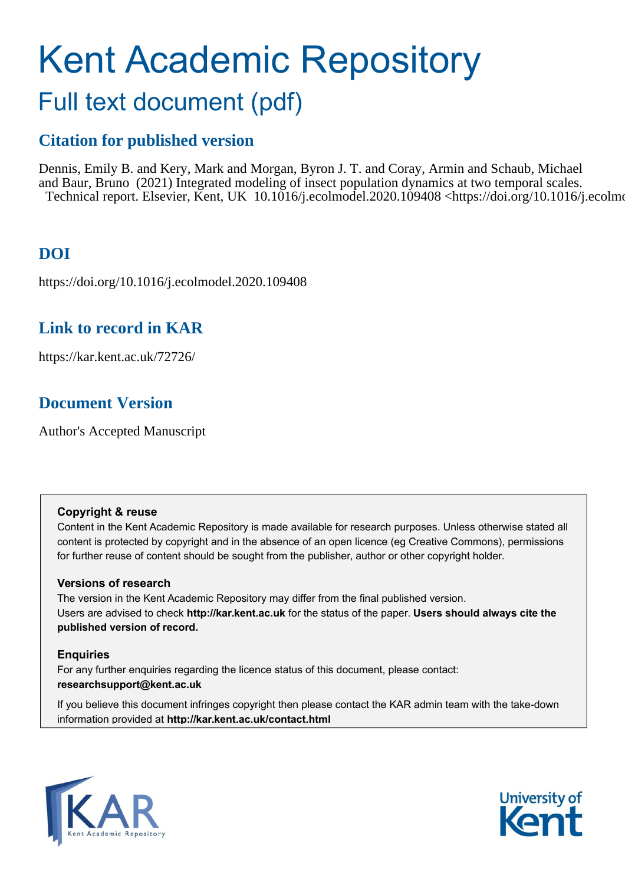# Kent Academic Repository

## Full text document (pdf)

## **Citation for published version**

Dennis, Emily B. and Kery, Mark and Morgan, Byron J. T. and Coray, Armin and Schaub, Michael and Baur, Bruno (2021) Integrated modeling of insect population dynamics at two temporal scales. Technical report. Elsevier, Kent, UK 10.1016/j.ecolmodel.2020.109408 <https://doi.org/10.1016/j.ecolmodel.2020.109408>.

## **DOI**

https://doi.org/10.1016/j.ecolmodel.2020.109408

## **Link to record in KAR**

https://kar.kent.ac.uk/72726/

## **Document Version**

Author's Accepted Manuscript

#### **Copyright & reuse**

Content in the Kent Academic Repository is made available for research purposes. Unless otherwise stated all content is protected by copyright and in the absence of an open licence (eg Creative Commons), permissions for further reuse of content should be sought from the publisher, author or other copyright holder.

#### **Versions of research**

The version in the Kent Academic Repository may differ from the final published version. Users are advised to check **http://kar.kent.ac.uk** for the status of the paper. **Users should always cite the published version of record.**

#### **Enquiries**

For any further enquiries regarding the licence status of this document, please contact: **researchsupport@kent.ac.uk**

If you believe this document infringes copyright then please contact the KAR admin team with the take-down information provided at **http://kar.kent.ac.uk/contact.html**



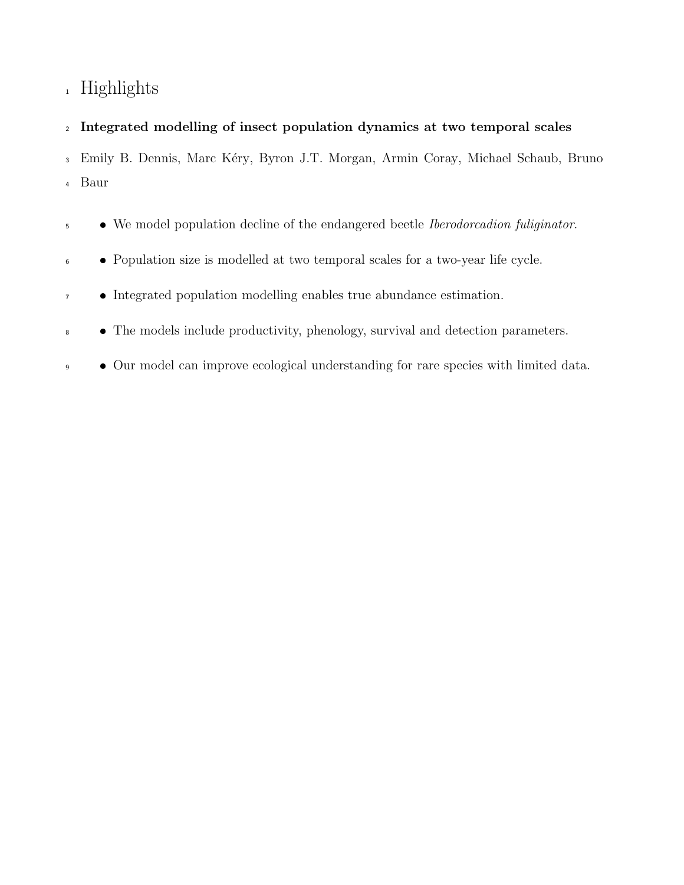## Highlights

#### Integrated modelling of insect population dynamics at two temporal scales

<sup>3</sup> Emily B. Dennis, Marc Kéry, Byron J.T. Morgan, Armin Coray, Michael Schaub, Bruno Baur

- 5 **We model population decline of the endangered beetle Iberodorcadion fuliginator.**
- Population size is modelled at two temporal scales for a two-year life cycle.
- <sup>7</sup> Integrated population modelling enables true abundance estimation.
- The models include productivity, phenology, survival and detection parameters.
- Our model can improve ecological understanding for rare species with limited data.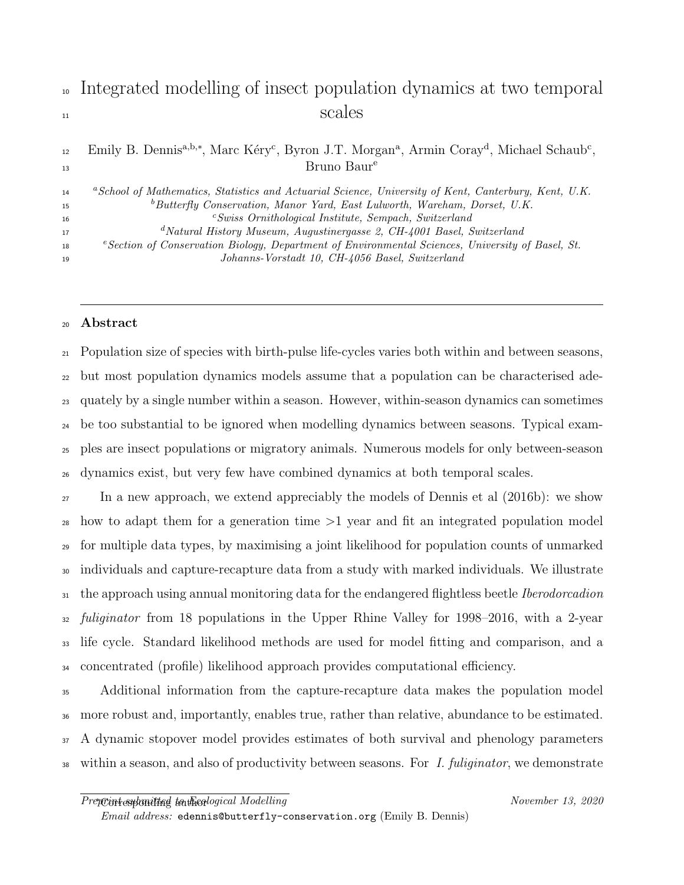## <sup>10</sup> Integrated modelling of insect population dynamics at two temporal <sup>11</sup> scales

#### 12 Emily B. Dennis<sup>a,b,∗</sup>, Marc Kéry<sup>c</sup>, Byron J.T. Morgan<sup>a</sup>, Armin Coray<sup>d</sup>, Michael Schaub<sup>c</sup>, Bruno Baur<sup>e</sup> 13

| 14 | "School of Mathematics, Statistics and Actuarial Science, University of Kent, Canterbury, Kent, U.K.         |
|----|--------------------------------------------------------------------------------------------------------------|
| 15 | ${}^b$ Butterfly Conservation, Manor Yard, East Lulworth, Wareham, Dorset, U.K.                              |
| 16 | $c$ Swiss Ornithological Institute, Sempach, Switzerland                                                     |
| 17 | $d$ Natural History Museum, Augustinergasse 2, CH-4001 Basel, Switzerland                                    |
| 18 | <sup>e</sup> Section of Conservation Biology, Department of Environmental Sciences, University of Basel, St. |
| 19 | Johanns-Vorstadt 10, CH-4056 Basel, Switzerland                                                              |

#### <sup>20</sup> Abstract

 Population size of species with birth-pulse life-cycles varies both within and between seasons, but most population dynamics models assume that a population can be characterised ade- quately by a single number within a season. However, within-season dynamics can sometimes be too substantial to be ignored when modelling dynamics between seasons. Typical exam- ples are insect populations or migratory animals. Numerous models for only between-season dynamics exist, but very few have combined dynamics at both temporal scales.

 In a new approach, we extend appreciably the models of Dennis et al (2016b): we show how to adapt them for a generation time >1 year and fit an integrated population model for multiple data types, by maximising a joint likelihood for population counts of unmarked individuals and capture-recapture data from a study with marked individuals. We illustrate <sup>31</sup> the approach using annual monitoring data for the endangered flightless beetle *Iberodorcadion*  $_32$  *fuliginator* from 18 populations in the Upper Rhine Valley for 1998–2016, with a 2-year life cycle. Standard likelihood methods are used for model fitting and comparison, and a concentrated (profile) likelihood approach provides computational efficiency.

 Additional information from the capture-recapture data makes the population model more robust and, importantly, enables true, rather than relative, abundance to be estimated. A dynamic stopover model provides estimates of both survival and phenology parameters 38 within a season, and also of productivity between seasons. For I. fuliginator, we demonstrate

Email address: edennis@butterfly-conservation.org (Emily B. Dennis)

Preprint submitted to the cological Modelling November 13, 2020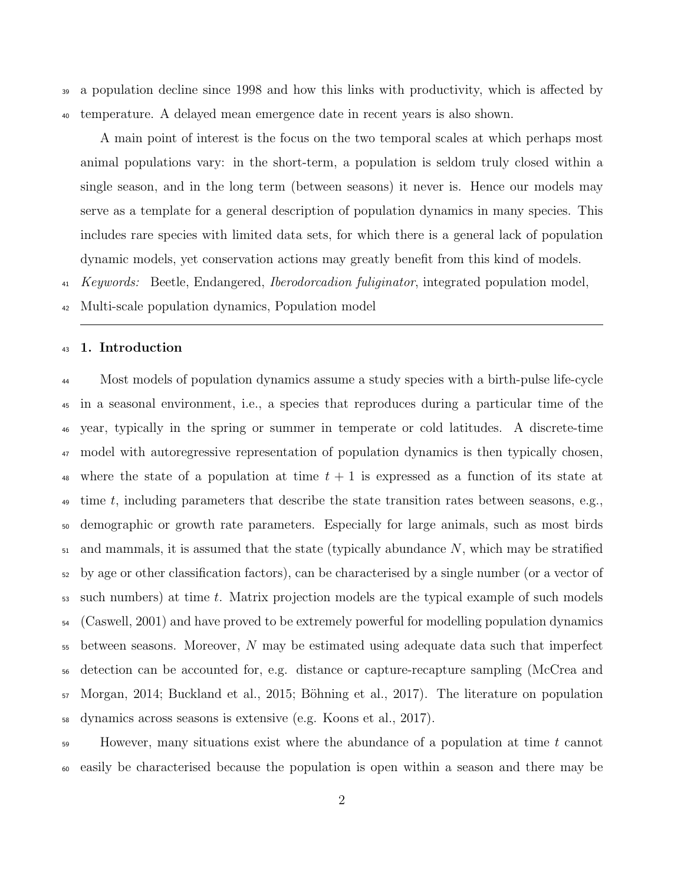<sup>39</sup> a population decline since 1998 and how this links with productivity, which is affected by <sup>40</sup> temperature. A delayed mean emergence date in recent years is also shown.

A main point of interest is the focus on the two temporal scales at which perhaps most animal populations vary: in the short-term, a population is seldom truly closed within a single season, and in the long term (between seasons) it never is. Hence our models may serve as a template for a general description of population dynamics in many species. This includes rare species with limited data sets, for which there is a general lack of population dynamic models, yet conservation actions may greatly benefit from this kind of models.

<sup>41</sup> Keywords: Beetle, Endangered, *Iberodorcadion fuliginator*, integrated population model,

<sup>42</sup> Multi-scale population dynamics, Population model

#### <sup>43</sup> 1. Introduction

<sup>44</sup> Most models of population dynamics assume a study species with a birth-pulse life-cycle <sup>45</sup> in a seasonal environment, i.e., a species that reproduces during a particular time of the <sup>46</sup> year, typically in the spring or summer in temperate or cold latitudes. A discrete-time <sup>47</sup> model with autoregressive representation of population dynamics is then typically chosen, 48 where the state of a population at time  $t + 1$  is expressed as a function of its state at  $\psi$  time t, including parameters that describe the state transition rates between seasons, e.g., <sup>50</sup> demographic or growth rate parameters. Especially for large animals, such as most birds  $_{51}$  and mammals, it is assumed that the state (typically abundance N, which may be stratified <sup>52</sup> by age or other classification factors), can be characterised by a single number (or a vector of  $53$  such numbers) at time t. Matrix projection models are the typical example of such models <sup>54</sup> (Caswell, 2001) and have proved to be extremely powerful for modelling population dynamics <sup>55</sup> between seasons. Moreover, N may be estimated using adequate data such that imperfect <sup>56</sup> detection can be accounted for, e.g. distance or capture-recapture sampling (McCrea and 57 Morgan, 2014; Buckland et al., 2015; Böhning et al., 2017). The literature on population <sup>58</sup> dynamics across seasons is extensive (e.g. Koons et al., 2017).

<sup>59</sup> However, many situations exist where the abundance of a population at time t cannot <sup>60</sup> easily be characterised because the population is open within a season and there may be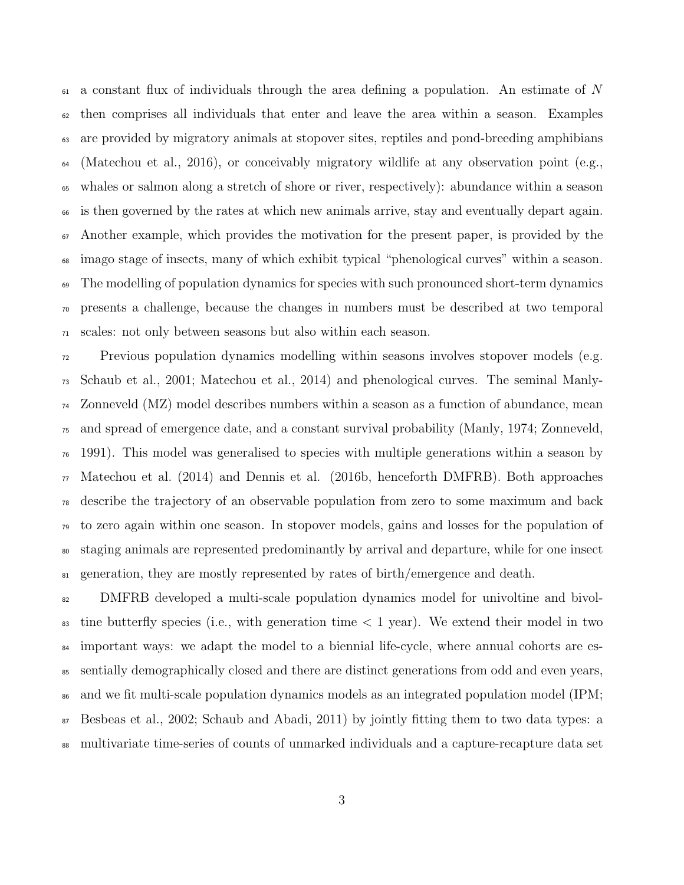a constant flux of individuals through the area defining a population. An estimate of N then comprises all individuals that enter and leave the area within a season. Examples are provided by migratory animals at stopover sites, reptiles and pond-breeding amphibians  $\epsilon_{\rm 64}$  (Matechou et al., 2016), or conceivably migratory wildlife at any observation point (e.g., whales or salmon along a stretch of shore or river, respectively): abundance within a season is then governed by the rates at which new animals arrive, stay and eventually depart again. Another example, which provides the motivation for the present paper, is provided by the imago stage of insects, many of which exhibit typical "phenological curves" within a season. <sup>69</sup> The modelling of population dynamics for species with such pronounced short-term dynamics presents a challenge, because the changes in numbers must be described at two temporal scales: not only between seasons but also within each season.

 Previous population dynamics modelling within seasons involves stopover models (e.g. Schaub et al., 2001; Matechou et al., 2014) and phenological curves. The seminal Manly- Zonneveld (MZ) model describes numbers within a season as a function of abundance, mean and spread of emergence date, and a constant survival probability (Manly, 1974; Zonneveld, 1991). This model was generalised to species with multiple generations within a season by  $\pi$  Matechou et al. (2014) and Dennis et al. (2016b, henceforth DMFRB). Both approaches describe the trajectory of an observable population from zero to some maximum and back to zero again within one season. In stopover models, gains and losses for the population of staging animals are represented predominantly by arrival and departure, while for one insect 81 generation, they are mostly represented by rates of birth/emergence and death.

 DMFRB developed a multi-scale population dynamics model for univoltine and bivol- $\frac{1}{83}$  tine butterfly species (i.e., with generation time  $\lt 1$  year). We extend their model in two <sup>84</sup> important ways: we adapt the model to a biennial life-cycle, where annual cohorts are es- sentially demographically closed and there are distinct generations from odd and even years, <sup>86</sup> and we fit multi-scale population dynamics models as an integrated population model (IPM; Besbeas et al., 2002; Schaub and Abadi, 2011) by jointly fitting them to two data types: a multivariate time-series of counts of unmarked individuals and a capture-recapture data set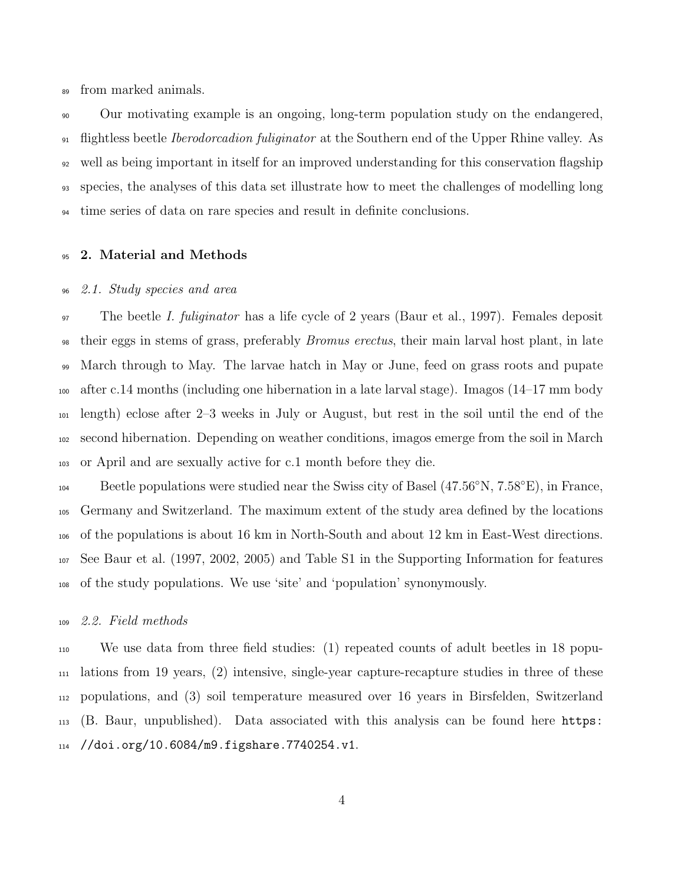from marked animals.

 Our motivating example is an ongoing, long-term population study on the endangered, <sup>91</sup> flightless beetle *Iberodorcadion fuliginator* at the Southern end of the Upper Rhine valley. As well as being important in itself for an improved understanding for this conservation flagship species, the analyses of this data set illustrate how to meet the challenges of modelling long time series of data on rare species and result in definite conclusions.

#### 95 2. Material and Methods

#### 2.1. Study species and area

<sup>97</sup> The beetle *I. fuliginator* has a life cycle of 2 years (Baur et al., 1997). Females deposit their eggs in stems of grass, preferably Bromus erectus, their main larval host plant, in late March through to May. The larvae hatch in May or June, feed on grass roots and pupate after c.14 months (including one hibernation in a late larval stage). Imagos (14–17 mm body length) eclose after 2–3 weeks in July or August, but rest in the soil until the end of the second hibernation. Depending on weather conditions, imagos emerge from the soil in March or April and are sexually active for c.1 month before they die.

Beetle populations were studied near the Swiss city of Basel  $(47.56°N, 7.58°E)$ , in France, Germany and Switzerland. The maximum extent of the study area defined by the locations of the populations is about 16 km in North-South and about 12 km in East-West directions. See Baur et al. (1997, 2002, 2005) and Table S1 in the Supporting Information for features of the study populations. We use 'site' and 'population' synonymously.

#### 2.2. Field methods

 We use data from three field studies: (1) repeated counts of adult beetles in 18 popu- lations from 19 years, (2) intensive, single-year capture-recapture studies in three of these populations, and (3) soil temperature measured over 16 years in Birsfelden, Switzerland (B. Baur, unpublished). Data associated with this analysis can be found here https: //doi.org/10.6084/m9.figshare.7740254.v1.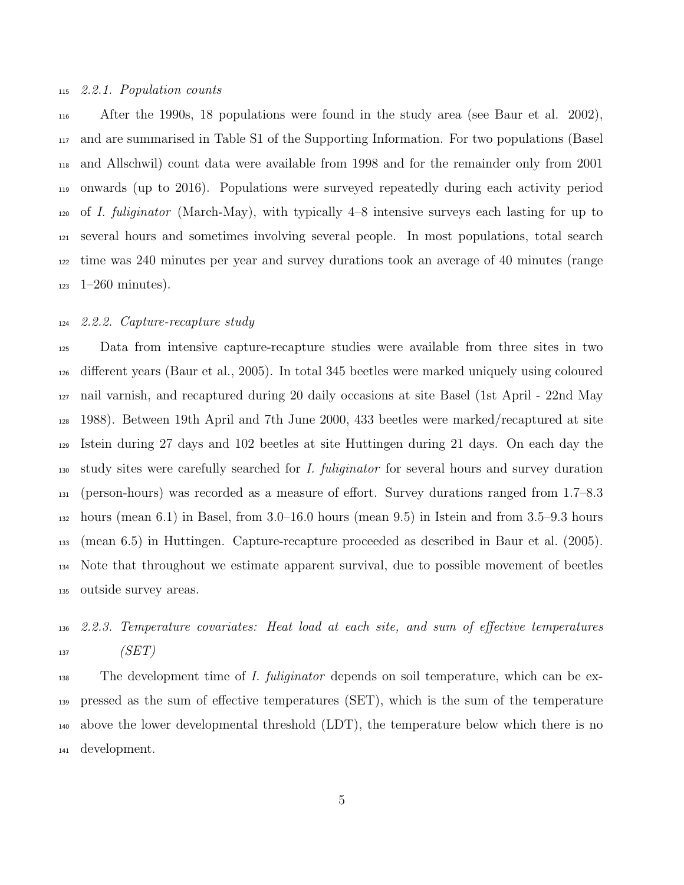#### 2.2.1. Population counts

 After the 1990s, 18 populations were found in the study area (see Baur et al. 2002), and are summarised in Table S1 of the Supporting Information. For two populations (Basel and Allschwil) count data were available from 1998 and for the remainder only from 2001 onwards (up to 2016). Populations were surveyed repeatedly during each activity period of I. fuliginator (March-May), with typically 4–8 intensive surveys each lasting for up to several hours and sometimes involving several people. In most populations, total search time was 240 minutes per year and survey durations took an average of 40 minutes (range  $1-260$  minutes).

#### 2.2.2. Capture-recapture study

 Data from intensive capture-recapture studies were available from three sites in two different years (Baur et al., 2005). In total 345 beetles were marked uniquely using coloured nail varnish, and recaptured during 20 daily occasions at site Basel (1st April - 22nd May 1988). Between 19th April and 7th June 2000, 433 beetles were marked/recaptured at site Istein during 27 days and 102 beetles at site Huttingen during 21 days. On each day the <sup>130</sup> study sites were carefully searched for *I. fuliginator* for several hours and survey duration (person-hours) was recorded as a measure of effort. Survey durations ranged from 1.7–8.3 hours (mean 6.1) in Basel, from 3.0–16.0 hours (mean 9.5) in Istein and from 3.5–9.3 hours (mean 6.5) in Huttingen. Capture-recapture proceeded as described in Baur et al. (2005). Note that throughout we estimate apparent survival, due to possible movement of beetles outside survey areas.

## 2.2.3. Temperature covariates: Heat load at each site, and sum of effective temperatures  $(SET)$

<sub>138</sub> The development time of *I. fuliginator* depends on soil temperature, which can be ex- pressed as the sum of effective temperatures (SET), which is the sum of the temperature above the lower developmental threshold (LDT), the temperature below which there is no development.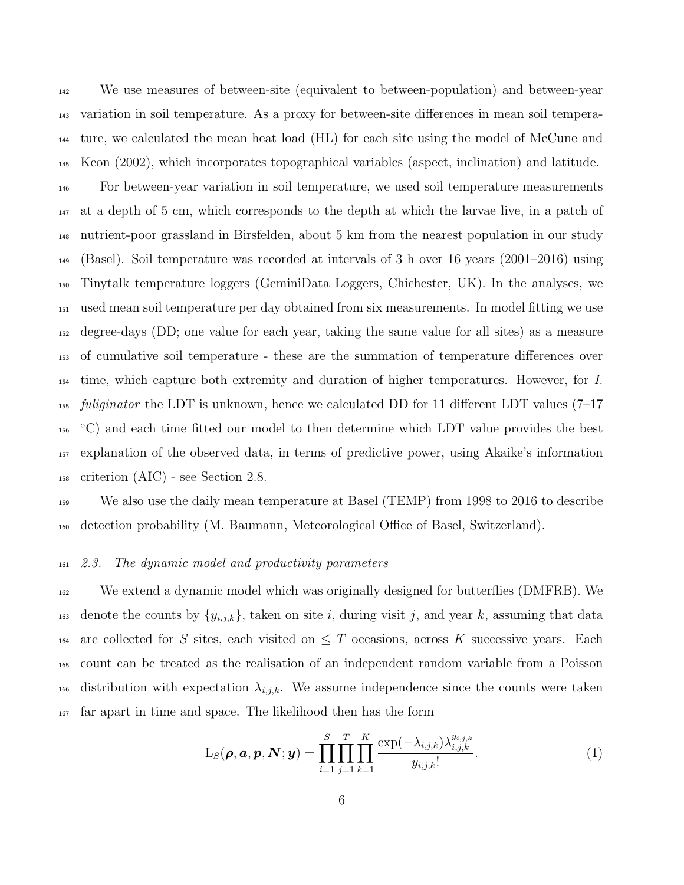We use measures of between-site (equivalent to between-population) and between-year variation in soil temperature. As a proxy for between-site differences in mean soil tempera- ture, we calculated the mean heat load (HL) for each site using the model of McCune and Keon (2002), which incorporates topographical variables (aspect, inclination) and latitude. For between-year variation in soil temperature, we used soil temperature measurements at a depth of 5 cm, which corresponds to the depth at which the larvae live, in a patch of nutrient-poor grassland in Birsfelden, about 5 km from the nearest population in our study (Basel). Soil temperature was recorded at intervals of 3 h over 16 years (2001–2016) using Tinytalk temperature loggers (GeminiData Loggers, Chichester, UK). In the analyses, we used mean soil temperature per day obtained from six measurements. In model fitting we use degree-days (DD; one value for each year, taking the same value for all sites) as a measure of cumulative soil temperature - these are the summation of temperature differences over time, which capture both extremity and duration of higher temperatures. However, for I. *fuliginator* the LDT is unknown, hence we calculated DD for 11 different LDT values (7–17  $\sim$  C) and each time fitted our model to then determine which LDT value provides the best explanation of the observed data, in terms of predictive power, using Akaike's information criterion (AIC) - see Section 2.8.

<sup>159</sup> We also use the daily mean temperature at Basel (TEMP) from 1998 to 2016 to describe <sup>160</sup> detection probability (M. Baumann, Meteorological Office of Basel, Switzerland).

#### <sup>161</sup> 2.3. The dynamic model and productivity parameters

<sup>162</sup> We extend a dynamic model which was originally designed for butterflies (DMFRB). We 163 denote the counts by  $\{y_{i,j,k}\}\$ , taken on site i, during visit j, and year k, assuming that data 164 are collected for S sites, each visited on  $\leq T$  occasions, across K successive years. Each <sup>165</sup> count can be treated as the realisation of an independent random variable from a Poisson 166 distribution with expectation  $\lambda_{i,j,k}$ . We assume independence since the counts were taken <sup>167</sup> far apart in time and space. The likelihood then has the form

$$
L_S(\boldsymbol{\rho}, \boldsymbol{a}, \boldsymbol{p}, \boldsymbol{N}; \boldsymbol{y}) = \prod_{i=1}^S \prod_{j=1}^T \prod_{k=1}^K \frac{\exp(-\lambda_{i,j,k}) \lambda_{i,j,k}^{y_{i,j,k}}}{y_{i,j,k}!}.
$$
\n(1)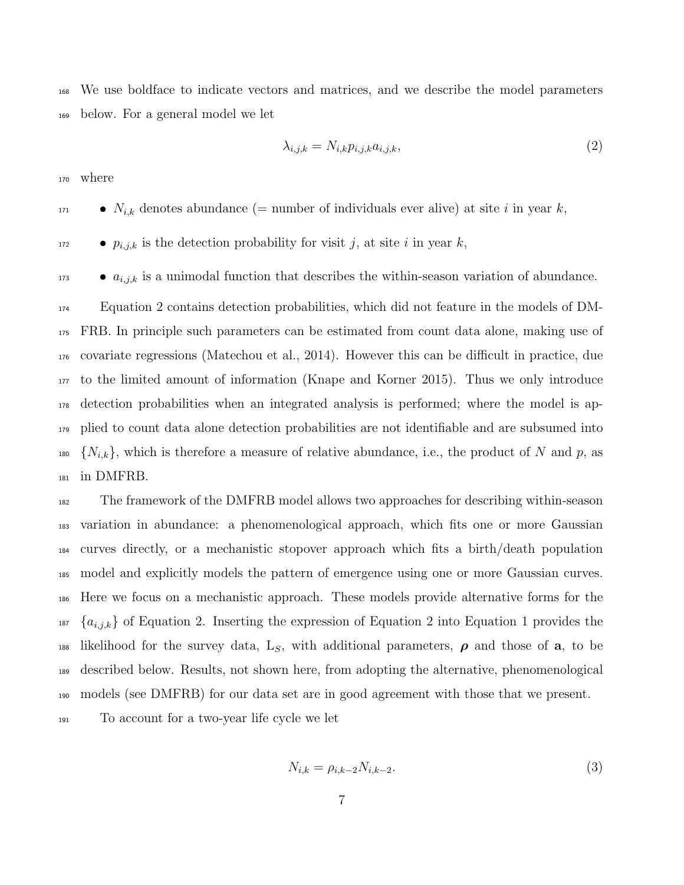We use boldface to indicate vectors and matrices, and we describe the model parameters below. For a general model we let

$$
\lambda_{i,j,k} = N_{i,k} p_{i,j,k} a_{i,j,k},\tag{2}
$$

where

 $N_{i,k}$  denotes abundance (= number of individuals ever alive) at site i in year k,

 $p_{i,j,k}$  is the detection probability for visit j, at site i in year k,

 $a_{i,j,k}$  is a unimodal function that describes the within-season variation of abundance.

 Equation 2 contains detection probabilities, which did not feature in the models of DM- FRB. In principle such parameters can be estimated from count data alone, making use of covariate regressions (Matechou et al., 2014). However this can be difficult in practice, due to the limited amount of information (Knape and Korner 2015). Thus we only introduce detection probabilities when an integrated analysis is performed; where the model is ap- plied to count data alone detection probabilities are not identifiable and are subsumed into <sup>180</sup>  $\{N_{i,k}\},$  which is therefore a measure of relative abundance, i.e., the product of N and p, as in DMFRB.

 The framework of the DMFRB model allows two approaches for describing within-season variation in abundance: a phenomenological approach, which fits one or more Gaussian curves directly, or a mechanistic stopover approach which fits a birth/death population model and explicitly models the pattern of emergence using one or more Gaussian curves. Here we focus on a mechanistic approach. These models provide alternative forms for the  ${a_{i,j,k}}$  of Equation 2. Inserting the expression of Equation 2 into Equation 1 provides the 188 likelihood for the survey data,  $L_s$ , with additional parameters,  $\rho$  and those of a, to be described below. Results, not shown here, from adopting the alternative, phenomenological models (see DMFRB) for our data set are in good agreement with those that we present. To account for a two-year life cycle we let

$$
N_{i,k} = \rho_{i,k-2} N_{i,k-2}.
$$
\n(3)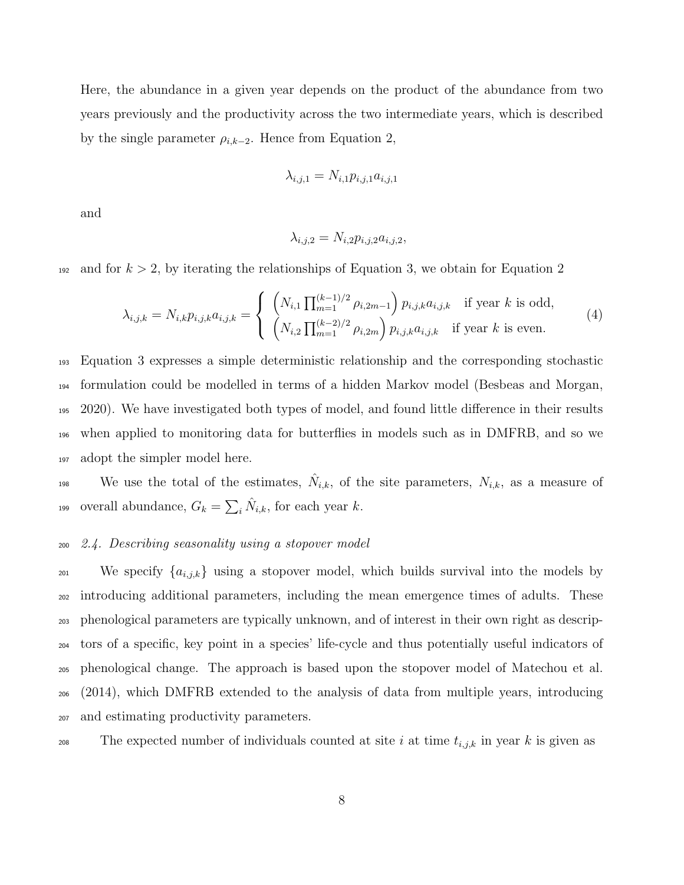Here, the abundance in a given year depends on the product of the abundance from two years previously and the productivity across the two intermediate years, which is described by the single parameter  $\rho_{i,k-2}$ . Hence from Equation 2,

$$
\lambda_{i,j,1}=N_{i,1}p_{i,j,1}a_{i,j,1}
$$

and

$$
\lambda_{i,j,2}=N_{i,2}p_{i,j,2}a_{i,j,2},
$$

<sup>192</sup> and for  $k > 2$ , by iterating the relationships of Equation 3, we obtain for Equation 2

$$
\lambda_{i,j,k} = N_{i,k} p_{i,j,k} a_{i,j,k} = \begin{cases} \left( N_{i,1} \prod_{m=1}^{(k-1)/2} \rho_{i,2m-1} \right) p_{i,j,k} a_{i,j,k} & \text{if year } k \text{ is odd,} \\ \left( N_{i,2} \prod_{m=1}^{(k-2)/2} \rho_{i,2m} \right) p_{i,j,k} a_{i,j,k} & \text{if year } k \text{ is even.} \end{cases}
$$
(4)

 Equation 3 expresses a simple deterministic relationship and the corresponding stochastic formulation could be modelled in terms of a hidden Markov model (Besbeas and Morgan, 2020). We have investigated both types of model, and found little difference in their results when applied to monitoring data for butterflies in models such as in DMFRB, and so we adopt the simpler model here.

We use the total of the estimates,  $\hat{N}_{i,k}$ , of the site parameters,  $N_{i,k}$ , as a measure of overall abundance,  $G_k = \sum_i \hat{N}_{i,k}$ , for each year k.

#### <sup>200</sup> 2.4. Describing seasonality using a stopover model

<sup>201</sup> We specify  $\{a_{i,j,k}\}\$  using a stopover model, which builds survival into the models by introducing additional parameters, including the mean emergence times of adults. These phenological parameters are typically unknown, and of interest in their own right as descrip- tors of a specific, key point in a species' life-cycle and thus potentially useful indicators of phenological change. The approach is based upon the stopover model of Matechou et al. (2014), which DMFRB extended to the analysis of data from multiple years, introducing and estimating productivity parameters.

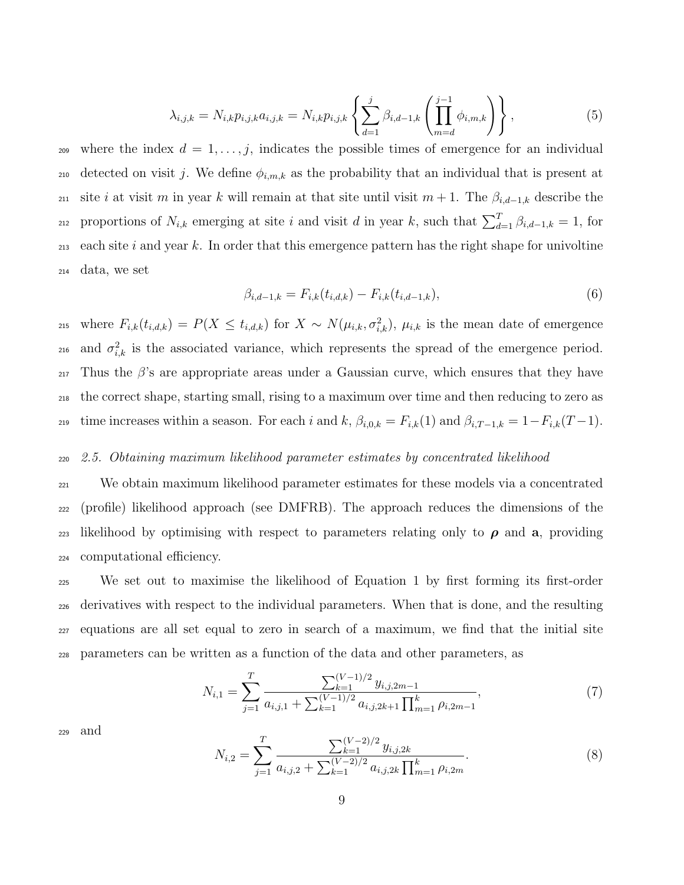$$
\lambda_{i,j,k} = N_{i,k} p_{i,j,k} a_{i,j,k} = N_{i,k} p_{i,j,k} \left\{ \sum_{d=1}^j \beta_{i,d-1,k} \left( \prod_{m=d}^{j-1} \phi_{i,m,k} \right) \right\},
$$
\n(5)

209 where the index  $d = 1, \ldots, j$ , indicates the possible times of emergence for an individual 210 detected on visit j. We define  $\phi_{i,m,k}$  as the probability that an individual that is present at 211 site i at visit m in year k will remain at that site until visit  $m + 1$ . The  $\beta_{i,d-1,k}$  describe the proportions of  $N_{i,k}$  emerging at site i and visit d in year k, such that  $\sum_{d=1}^{T} \beta_{i,d-1,k} = 1$ , for 213 each site i and year k. In order that this emergence pattern has the right shape for univoltine <sup>214</sup> data, we set

$$
\beta_{i,d-1,k} = F_{i,k}(t_{i,d,k}) - F_{i,k}(t_{i,d-1,k}),
$$
\n(6)

<sup>215</sup> where  $F_{i,k}(t_{i,d,k}) = P(X \le t_{i,d,k})$  for  $X \sim N(\mu_{i,k}, \sigma_{i,k}^2)$ ,  $\mu_{i,k}$  is the mean date of emergence <sup>216</sup> and  $\sigma_{i,k}^2$  is the associated variance, which represents the spread of the emergence period.  $_{217}$  Thus the  $\beta$ 's are appropriate areas under a Gaussian curve, which ensures that they have <sup>218</sup> the correct shape, starting small, rising to a maximum over time and then reducing to zero as 219 time increases within a season. For each i and k,  $\beta_{i,0,k} = F_{i,k}(1)$  and  $\beta_{i,T-1,k} = 1 - F_{i,k}(T-1)$ .

#### <sup>220</sup> 2.5. Obtaining maximum likelihood parameter estimates by concentrated likelihood

<sup>221</sup> We obtain maximum likelihood parameter estimates for these models via a concentrated <sup>222</sup> (profile) likelihood approach (see DMFRB). The approach reduces the dimensions of the 223 likelihood by optimising with respect to parameters relating only to  $\rho$  and a, providing <sup>224</sup> computational efficiency.

 We set out to maximise the likelihood of Equation 1 by first forming its first-order derivatives with respect to the individual parameters. When that is done, and the resulting equations are all set equal to zero in search of a maximum, we find that the initial site parameters can be written as a function of the data and other parameters, as

$$
N_{i,1} = \sum_{j=1}^{T} \frac{\sum_{k=1}^{(V-1)/2} y_{i,j,2m-1}}{a_{i,j,1} + \sum_{k=1}^{(V-1)/2} a_{i,j,2k+1} \prod_{m=1}^{k} \rho_{i,2m-1}},
$$
(7)

<sup>229</sup> and

$$
N_{i,2} = \sum_{j=1}^{T} \frac{\sum_{k=1}^{(V-2)/2} y_{i,j,2k}}{a_{i,j,2} + \sum_{k=1}^{(V-2)/2} a_{i,j,2k} \prod_{m=1}^{k} \rho_{i,2m}}.
$$
\n(8)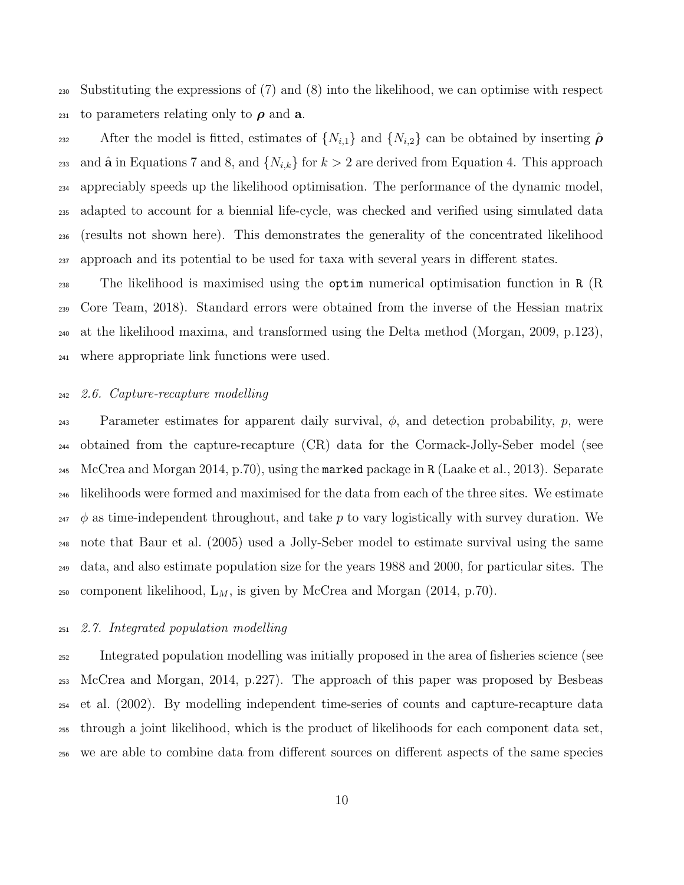Substituting the expressions of (7) and (8) into the likelihood, we can optimise with respect 231 to parameters relating only to  $\rho$  and **a**.

232 After the model is fitted, estimates of  $\{N_{i,1}\}\$ and  $\{N_{i,2}\}\$ can be obtained by inserting  $\hat{\rho}$ <sup>233</sup> and  $\hat{\bf{a}}$  in Equations 7 and 8, and  $\{N_{i,k}\}\$  for  $k>2$  are derived from Equation 4. This approach appreciably speeds up the likelihood optimisation. The performance of the dynamic model, adapted to account for a biennial life-cycle, was checked and verified using simulated data (results not shown here). This demonstrates the generality of the concentrated likelihood approach and its potential to be used for taxa with several years in different states.

 The likelihood is maximised using the optim numerical optimisation function in R (R Core Team, 2018). Standard errors were obtained from the inverse of the Hessian matrix at the likelihood maxima, and transformed using the Delta method (Morgan, 2009, p.123), where appropriate link functions were used.

#### 2.6. Capture-recapture modelling

243 Parameter estimates for apparent daily survival,  $\phi$ , and detection probability, p, were obtained from the capture-recapture (CR) data for the Cormack-Jolly-Seber model (see McCrea and Morgan 2014, p.70), using the marked package in R (Laake et al., 2013). Separate likelihoods were formed and maximised for the data from each of the three sites. We estimate  $_{247}$   $\phi$  as time-independent throughout, and take p to vary logistically with survey duration. We note that Baur et al. (2005) used a Jolly-Seber model to estimate survival using the same data, and also estimate population size for the years 1988 and 2000, for particular sites. The <sup>250</sup> component likelihood,  $L_M$ , is given by McCrea and Morgan (2014, p.70).

#### 2.7. Integrated population modelling

 Integrated population modelling was initially proposed in the area of fisheries science (see McCrea and Morgan, 2014, p.227). The approach of this paper was proposed by Besbeas et al. (2002). By modelling independent time-series of counts and capture-recapture data through a joint likelihood, which is the product of likelihoods for each component data set, we are able to combine data from different sources on different aspects of the same species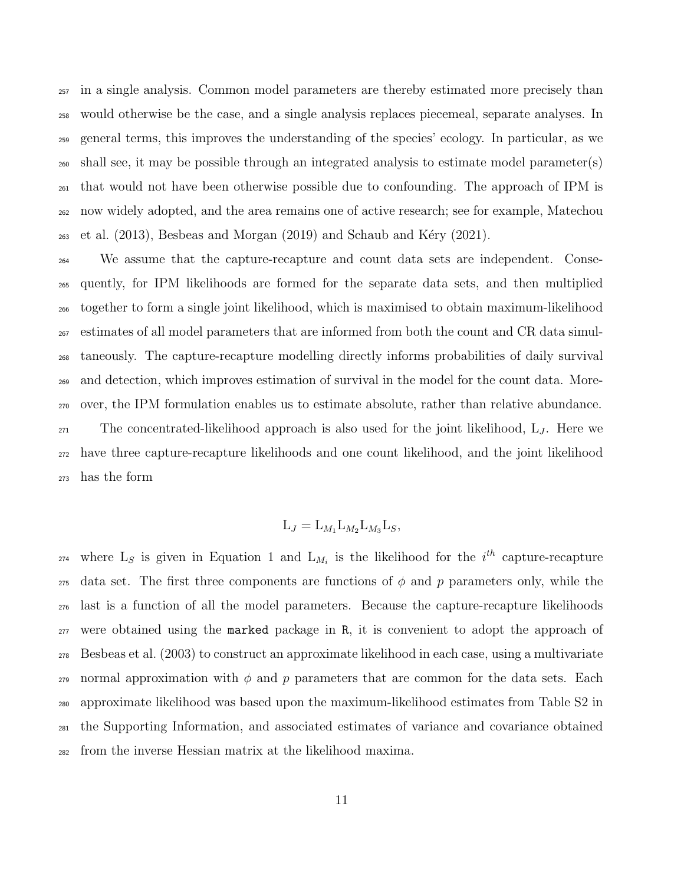in a single analysis. Common model parameters are thereby estimated more precisely than would otherwise be the case, and a single analysis replaces piecemeal, separate analyses. In general terms, this improves the understanding of the species' ecology. In particular, as we shall see, it may be possible through an integrated analysis to estimate model parameter(s) that would not have been otherwise possible due to confounding. The approach of IPM is now widely adopted, and the area remains one of active research; see for example, Matechou  $_{263}$  et al. (2013), Besbeas and Morgan (2019) and Schaub and Kéry (2021).

 We assume that the capture-recapture and count data sets are independent. Conse- quently, for IPM likelihoods are formed for the separate data sets, and then multiplied together to form a single joint likelihood, which is maximised to obtain maximum-likelihood estimates of all model parameters that are informed from both the count and CR data simul- taneously. The capture-recapture modelling directly informs probabilities of daily survival and detection, which improves estimation of survival in the model for the count data. More- over, the IPM formulation enables us to estimate absolute, rather than relative abundance. The concentrated-likelihood approach is also used for the joint likelihood,  $L_J$ . Here we have three capture-recapture likelihoods and one count likelihood, and the joint likelihood has the form

### $L_J = L_{M_1} L_{M_2} L_{M_3} L_S,$

<sup>274</sup> where L<sub>S</sub> is given in Equation 1 and L<sub>M<sub>i</sub></sub> is the likelihood for the *i*<sup>th</sup> capture-recapture 275 data set. The first three components are functions of  $\phi$  and p parameters only, while the last is a function of all the model parameters. Because the capture-recapture likelihoods were obtained using the marked package in R, it is convenient to adopt the approach of Besbeas et al. (2003) to construct an approximate likelihood in each case, using a multivariate 279 normal approximation with  $\phi$  and p parameters that are common for the data sets. Each approximate likelihood was based upon the maximum-likelihood estimates from Table S2 in the Supporting Information, and associated estimates of variance and covariance obtained from the inverse Hessian matrix at the likelihood maxima.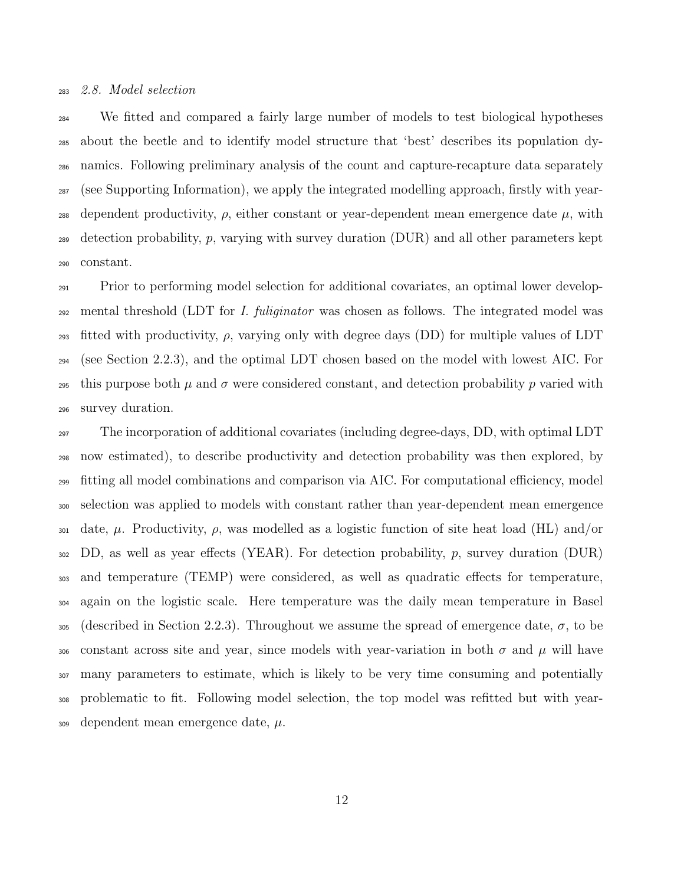#### 2.8. Model selection

 We fitted and compared a fairly large number of models to test biological hypotheses about the beetle and to identify model structure that 'best' describes its population dy- namics. Following preliminary analysis of the count and capture-recapture data separately (see Supporting Information), we apply the integrated modelling approach, firstly with year-288 dependent productivity,  $\rho$ , either constant or year-dependent mean emergence date  $\mu$ , with 289 detection probability, p, varying with survey duration  $(DUR)$  and all other parameters kept constant.

 Prior to performing model selection for additional covariates, an optimal lower develop-292 mental threshold (LDT for I. fuliginator was chosen as follows. The integrated model was 293 fitted with productivity,  $\rho$ , varying only with degree days (DD) for multiple values of LDT (see Section 2.2.3), and the optimal LDT chosen based on the model with lowest AIC. For 295 this purpose both  $\mu$  and  $\sigma$  were considered constant, and detection probability p varied with survey duration.

 The incorporation of additional covariates (including degree-days, DD, with optimal LDT now estimated), to describe productivity and detection probability was then explored, by fitting all model combinations and comparison via AIC. For computational efficiency, model selection was applied to models with constant rather than year-dependent mean emergence 301 date,  $\mu$ . Productivity,  $\rho$ , was modelled as a logistic function of site heat load (HL) and/or DD, as well as year effects (YEAR). For detection probability, p, survey duration (DUR) and temperature (TEMP) were considered, as well as quadratic effects for temperature, again on the logistic scale. Here temperature was the daily mean temperature in Basel 305 (described in Section 2.2.3). Throughout we assume the spread of emergence date,  $\sigma$ , to be 306 constant across site and year, since models with year-variation in both  $\sigma$  and  $\mu$  will have many parameters to estimate, which is likely to be very time consuming and potentially problematic to fit. Following model selection, the top model was refitted but with year-dependent mean emergence date,  $\mu$ .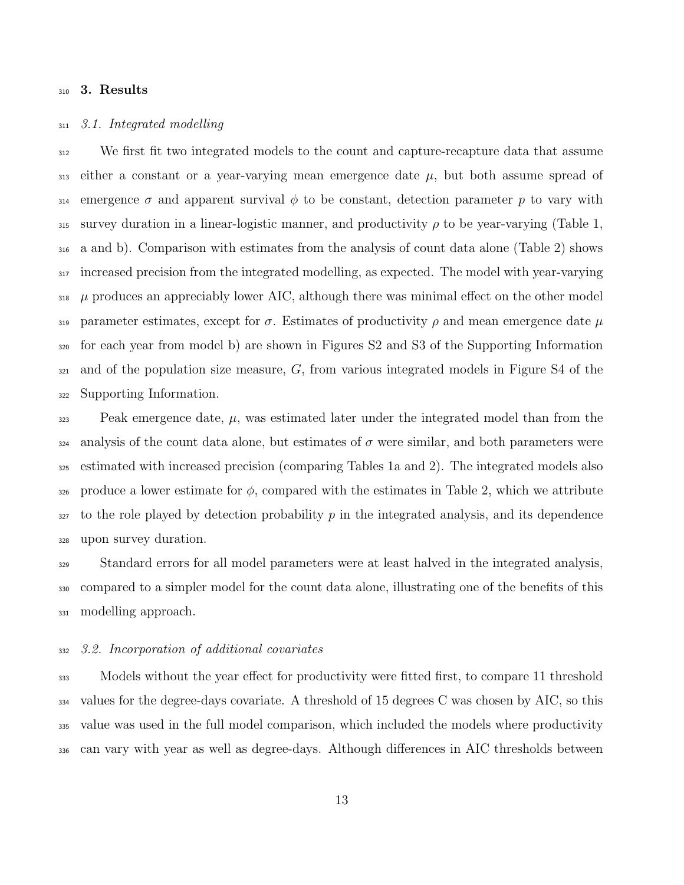#### 3. Results

#### 3.1. Integrated modelling

 We first fit two integrated models to the count and capture-recapture data that assume 313 either a constant or a year-varying mean emergence date  $\mu$ , but both assume spread of 314 emergence  $\sigma$  and apparent survival  $\phi$  to be constant, detection parameter p to vary with 315 survey duration in a linear-logistic manner, and productivity  $\rho$  to be year-varying (Table 1, a and b). Comparison with estimates from the analysis of count data alone (Table 2) shows increased precision from the integrated modelling, as expected. The model with year-varying  $\mu$  produces an appreciably lower AIC, although there was minimal effect on the other model 319 parameter estimates, except for  $\sigma$ . Estimates of productivity  $\rho$  and mean emergence date  $\mu$  for each year from model b) are shown in Figures S2 and S3 of the Supporting Information and of the population size measure, G, from various integrated models in Figure S4 of the Supporting Information.

 Peak emergence date,  $\mu$ , was estimated later under the integrated model than from the analysis of the count data alone, but estimates of  $\sigma$  were similar, and both parameters were estimated with increased precision (comparing Tables 1a and 2). The integrated models also 326 produce a lower estimate for  $\phi$ , compared with the estimates in Table 2, which we attribute to the role played by detection probability p in the integrated analysis, and its dependence upon survey duration.

 Standard errors for all model parameters were at least halved in the integrated analysis, compared to a simpler model for the count data alone, illustrating one of the benefits of this modelling approach.

#### 3.2. Incorporation of additional covariates

 Models without the year effect for productivity were fitted first, to compare 11 threshold values for the degree-days covariate. A threshold of 15 degrees C was chosen by AIC, so this value was used in the full model comparison, which included the models where productivity can vary with year as well as degree-days. Although differences in AIC thresholds between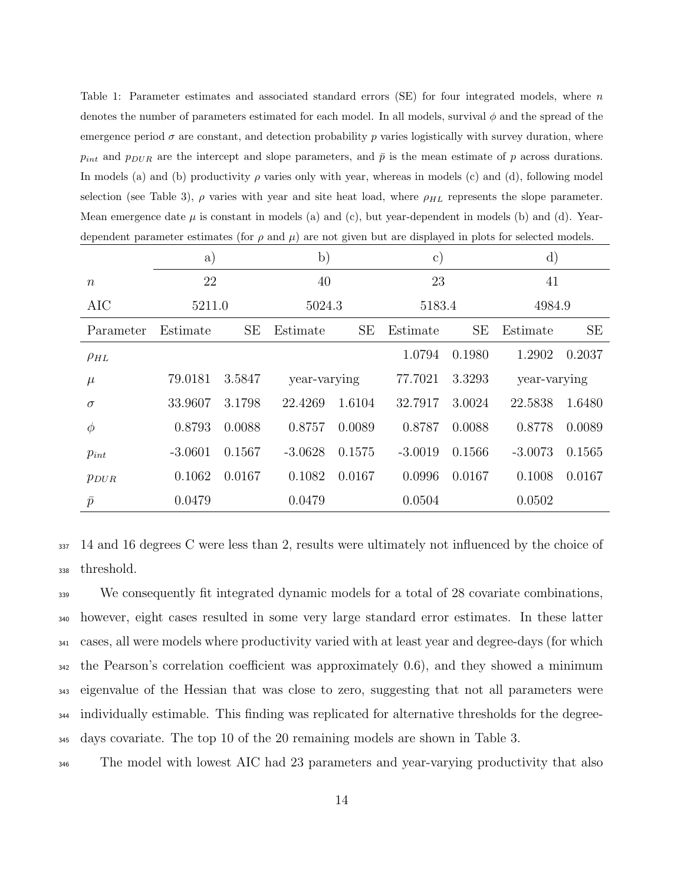Table 1: Parameter estimates and associated standard errors (SE) for four integrated models, where n denotes the number of parameters estimated for each model. In all models, survival  $\phi$  and the spread of the emergence period  $\sigma$  are constant, and detection probability p varies logistically with survey duration, where  $p_{int}$  and  $p_{DUR}$  are the intercept and slope parameters, and  $\bar{p}$  is the mean estimate of p across durations. In models (a) and (b) productivity  $\rho$  varies only with year, whereas in models (c) and (d), following model selection (see Table 3),  $\rho$  varies with year and site heat load, where  $\rho_{HL}$  represents the slope parameter. Mean emergence date  $\mu$  is constant in models (a) and (c), but year-dependent in models (b) and (d). Yeardependent parameter estimates (for  $\rho$  and  $\mu$ ) are not given but are displayed in plots for selected models.

|                  | a)        |        | $\mathbf{b})$ |           | $\mathbf{c}$ |        | $\mathbf{d}$ |        |
|------------------|-----------|--------|---------------|-----------|--------------|--------|--------------|--------|
| $\boldsymbol{n}$ | 22        |        | 40            |           | 23           |        | 41           |        |
| AIC              | 5211.0    |        | 5024.3        |           | 5183.4       |        | 4984.9       |        |
| Parameter        | Estimate  | SE     | Estimate      | <b>SE</b> | Estimate     | SE     | Estimate     | SE     |
| $\rho_{HL}$      |           |        |               |           | 1.0794       | 0.1980 | 1.2902       | 0.2037 |
| $\mu$            | 79.0181   | 3.5847 | year-varying  |           | 77.7021      | 3.3293 | year-varying |        |
| $\sigma$         | 33.9607   | 3.1798 | 22.4269       | 1.6104    | 32.7917      | 3.0024 | 22.5838      | 1.6480 |
| $\phi$           | 0.8793    | 0.0088 | 0.8757        | 0.0089    | 0.8787       | 0.0088 | 0.8778       | 0.0089 |
| $p_{int}$        | $-3.0601$ | 0.1567 | $-3.0628$     | 0.1575    | $-3.0019$    | 0.1566 | $-3.0073$    | 0.1565 |
| $p_{DUR}$        | 0.1062    | 0.0167 | 0.1082        | 0.0167    | 0.0996       | 0.0167 | 0.1008       | 0.0167 |
| $\bar{p}$        | 0.0479    |        | 0.0479        |           | 0.0504       |        | 0.0502       |        |

<sup>337</sup> 14 and 16 degrees C were less than 2, results were ultimately not influenced by the choice of <sup>338</sup> threshold.

 We consequently fit integrated dynamic models for a total of 28 covariate combinations, however, eight cases resulted in some very large standard error estimates. In these latter cases, all were models where productivity varied with at least year and degree-days (for which the Pearson's correlation coefficient was approximately 0.6), and they showed a minimum eigenvalue of the Hessian that was close to zero, suggesting that not all parameters were individually estimable. This finding was replicated for alternative thresholds for the degree-days covariate. The top 10 of the 20 remaining models are shown in Table 3.

<sup>346</sup> The model with lowest AIC had 23 parameters and year-varying productivity that also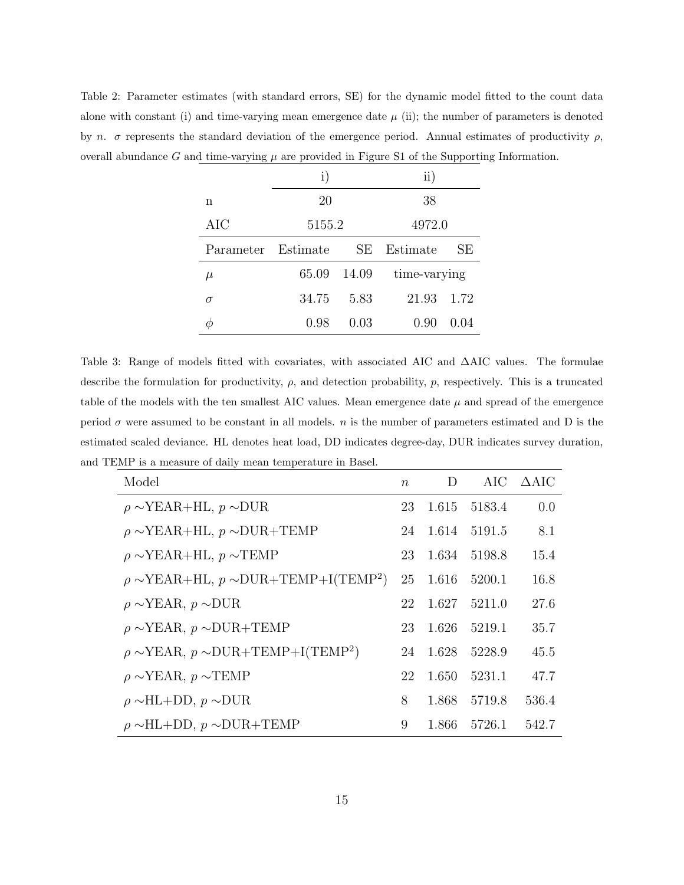Table 2: Parameter estimates (with standard errors, SE) for the dynamic model fitted to the count data alone with constant (i) and time-varying mean emergence date  $\mu$  (ii); the number of parameters is denoted by n.  $\sigma$  represents the standard deviation of the emergence period. Annual estimates of productivity  $\rho$ , overall abundance G and time-varying  $\mu$  are provided in Figure S1 of the Supporting Information.

|                    | $\mathbf{i}$ |       | $\rm ii)$    |      |  |
|--------------------|--------------|-------|--------------|------|--|
| n                  | 20           |       | 38           |      |  |
| AIC                | 5155.2       |       | 4972.0       |      |  |
| Parameter Estimate |              | SE    | Estimate     | SE   |  |
| $\mu$              | 65.09        | 14.09 | time-varying |      |  |
| $\sigma$           | 34.75        | 5.83  | 21.93        | 1.72 |  |
|                    | 0.98         | 0.03  | 0.90         | 0.04 |  |

Table 3: Range of models fitted with covariates, with associated AIC and ∆AIC values. The formulae describe the formulation for productivity,  $\rho$ , and detection probability,  $p$ , respectively. This is a truncated table of the models with the ten smallest AIC values. Mean emergence date  $\mu$  and spread of the emergence period  $\sigma$  were assumed to be constant in all models. *n* is the number of parameters estimated and D is the estimated scaled deviance. HL denotes heat load, DD indicates degree-day, DUR indicates survey duration, and TEMP is a measure of daily mean temperature in Basel.

| Model                                                        | $\boldsymbol{n}$ | D     |              | $AIC$ $\Delta AIC$ |
|--------------------------------------------------------------|------------------|-------|--------------|--------------------|
| $\rho \sim \text{YEAR+HL}, p \sim \text{DUR}$                | 23               |       | 1.615 5183.4 | 0.0                |
| $\rho \sim \text{YEAR+HL}$ , $p \sim \text{DUR+TEMP}$        | 24               |       | 1.614 5191.5 | 8.1                |
| $\rho \sim \text{YEAR+HL}$ , $p \sim \text{TEMP}$            | 23               |       | 1.634 5198.8 | 15.4               |
| $\rho \sim \text{YEAR+HL}, p \sim \text{DUR+TEMP+I(TEMP^2)}$ | 25               | 1.616 | 5200.1       | 16.8               |
| $\rho \sim \text{YEAR}, p \sim \text{DUR}$                   | 22               | 1.627 | 5211.0       | 27.6               |
| $\rho \sim$ YEAR, $p \sim$ DUR+TEMP                          | 23               |       | 1.626 5219.1 | 35.7               |
| $\rho \sim \text{YEAR}, p \sim \text{DUR+TEMP+I(TEMP2)}$     | 24               |       | 1.628 5228.9 | 45.5               |
| $\rho \sim \text{YEAR}, p \sim \text{TEMP}$                  | 22               |       | 1.650 5231.1 | 47.7               |
| $\rho \sim H L + DD$ , $p \sim DUR$                          | 8                | 1.868 | 5719.8       | 536.4              |
| $\rho \sim H L + DD$ , $p \sim DUR + TEMP$                   | 9                | 1.866 | 5726.1       | 542.7              |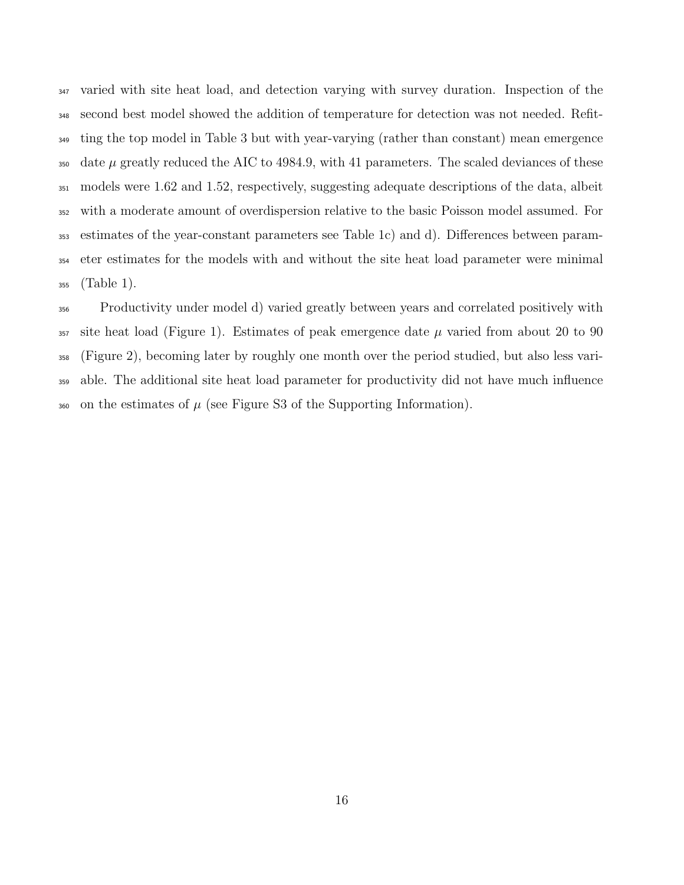varied with site heat load, and detection varying with survey duration. Inspection of the second best model showed the addition of temperature for detection was not needed. Refit-<sup>349</sup> ting the top model in Table 3 but with year-varying (rather than constant) mean emergence  $\frac{350}{450}$  date  $\mu$  greatly reduced the AIC to 4984.9, with 41 parameters. The scaled deviances of these models were 1.62 and 1.52, respectively, suggesting adequate descriptions of the data, albeit with a moderate amount of overdispersion relative to the basic Poisson model assumed. For estimates of the year-constant parameters see Table 1c) and d). Differences between param- eter estimates for the models with and without the site heat load parameter were minimal (Table 1).

 Productivity under model d) varied greatly between years and correlated positively with 357 site heat load (Figure 1). Estimates of peak emergence date  $\mu$  varied from about 20 to 90 (Figure 2), becoming later by roughly one month over the period studied, but also less vari- able. The additional site heat load parameter for productivity did not have much influence 360 on the estimates of  $\mu$  (see Figure S3 of the Supporting Information).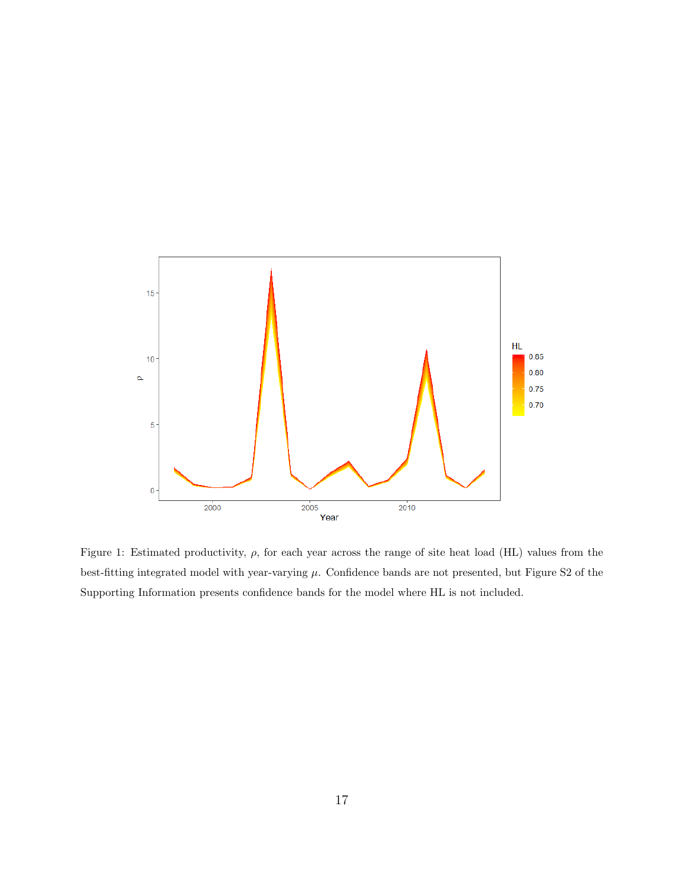

Figure 1: Estimated productivity,  $\rho$ , for each year across the range of site heat load (HL) values from the best-fitting integrated model with year-varying  $\mu$ . Confidence bands are not presented, but Figure S2 of the Supporting Information presents confidence bands for the model where HL is not included.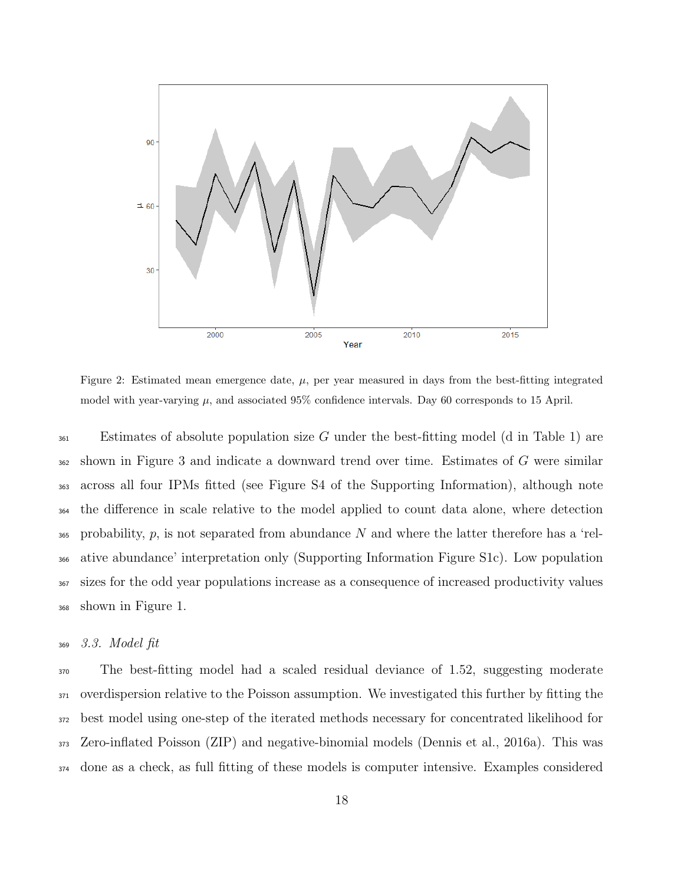

Figure 2: Estimated mean emergence date,  $\mu$ , per year measured in days from the best-fitting integrated model with year-varying  $\mu$ , and associated 95% confidence intervals. Day 60 corresponds to 15 April.

 $\mathcal{L}_{361}$  Estimates of absolute population size G under the best-fitting model (d in Table 1) are shown in Figure 3 and indicate a downward trend over time. Estimates of G were similar across all four IPMs fitted (see Figure S4 of the Supporting Information), although note the difference in scale relative to the model applied to count data alone, where detection probability, p, is not separated from abundance N and where the latter therefore has a 'rel- ative abundance' interpretation only (Supporting Information Figure S1c). Low population sizes for the odd year populations increase as a consequence of increased productivity values shown in Figure 1.

#### 3.3. Model fit

 The best-fitting model had a scaled residual deviance of 1.52, suggesting moderate overdispersion relative to the Poisson assumption. We investigated this further by fitting the best model using one-step of the iterated methods necessary for concentrated likelihood for Zero-inflated Poisson (ZIP) and negative-binomial models (Dennis et al., 2016a). This was done as a check, as full fitting of these models is computer intensive. Examples considered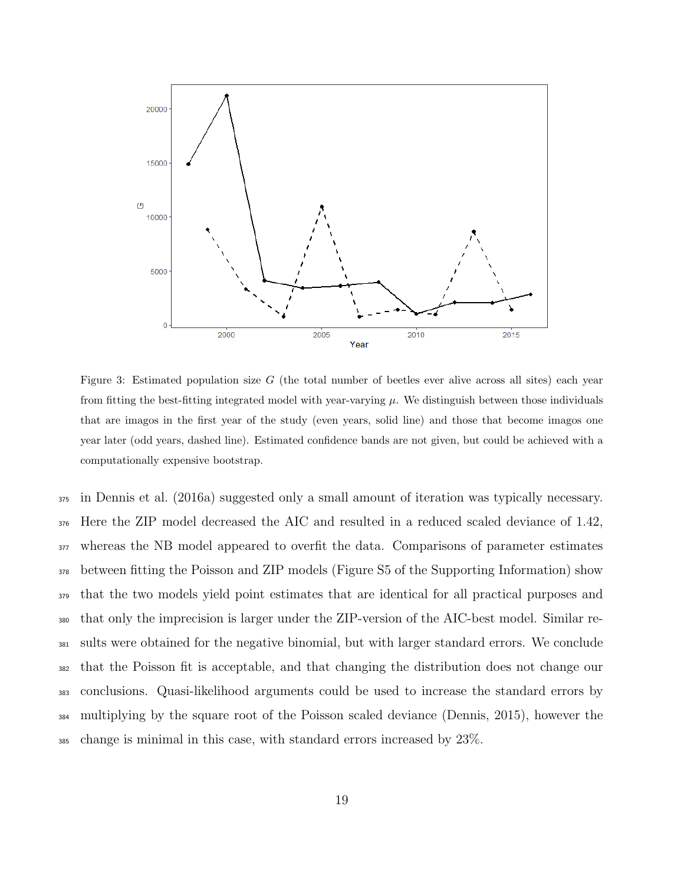

Figure 3: Estimated population size  $G$  (the total number of beetles ever alive across all sites) each year from fitting the best-fitting integrated model with year-varying  $\mu$ . We distinguish between those individuals that are imagos in the first year of the study (even years, solid line) and those that become imagos one year later (odd years, dashed line). Estimated confidence bands are not given, but could be achieved with a computationally expensive bootstrap.

 in Dennis et al. (2016a) suggested only a small amount of iteration was typically necessary. Here the ZIP model decreased the AIC and resulted in a reduced scaled deviance of 1.42, whereas the NB model appeared to overfit the data. Comparisons of parameter estimates between fitting the Poisson and ZIP models (Figure S5 of the Supporting Information) show that the two models yield point estimates that are identical for all practical purposes and that only the imprecision is larger under the ZIP-version of the AIC-best model. Similar re- sults were obtained for the negative binomial, but with larger standard errors. We conclude that the Poisson fit is acceptable, and that changing the distribution does not change our conclusions. Quasi-likelihood arguments could be used to increase the standard errors by multiplying by the square root of the Poisson scaled deviance (Dennis, 2015), however the change is minimal in this case, with standard errors increased by 23%.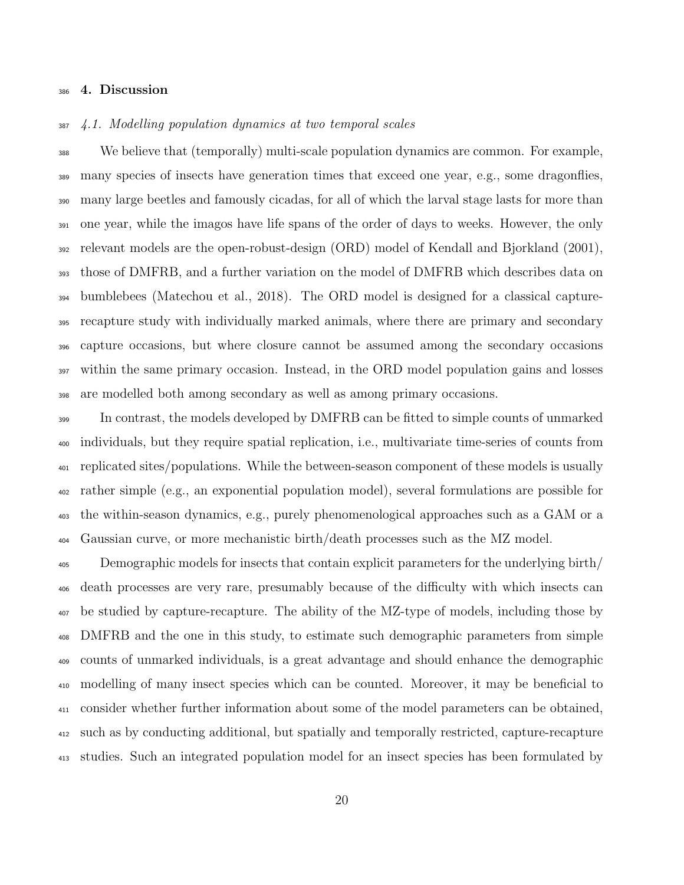#### 4. Discussion

#### 4.1. Modelling population dynamics at two temporal scales

 We believe that (temporally) multi-scale population dynamics are common. For example, many species of insects have generation times that exceed one year, e.g., some dragonflies, many large beetles and famously cicadas, for all of which the larval stage lasts for more than one year, while the imagos have life spans of the order of days to weeks. However, the only relevant models are the open-robust-design (ORD) model of Kendall and Bjorkland (2001), those of DMFRB, and a further variation on the model of DMFRB which describes data on bumblebees (Matechou et al., 2018). The ORD model is designed for a classical capture- recapture study with individually marked animals, where there are primary and secondary capture occasions, but where closure cannot be assumed among the secondary occasions within the same primary occasion. Instead, in the ORD model population gains and losses are modelled both among secondary as well as among primary occasions.

 In contrast, the models developed by DMFRB can be fitted to simple counts of unmarked individuals, but they require spatial replication, i.e., multivariate time-series of counts from replicated sites/populations. While the between-season component of these models is usually rather simple (e.g., an exponential population model), several formulations are possible for the within-season dynamics, e.g., purely phenomenological approaches such as a GAM or a Gaussian curve, or more mechanistic birth/death processes such as the MZ model.

 Demographic models for insects that contain explicit parameters for the underlying birth/ death processes are very rare, presumably because of the difficulty with which insects can be studied by capture-recapture. The ability of the MZ-type of models, including those by DMFRB and the one in this study, to estimate such demographic parameters from simple counts of unmarked individuals, is a great advantage and should enhance the demographic modelling of many insect species which can be counted. Moreover, it may be beneficial to consider whether further information about some of the model parameters can be obtained, such as by conducting additional, but spatially and temporally restricted, capture-recapture studies. Such an integrated population model for an insect species has been formulated by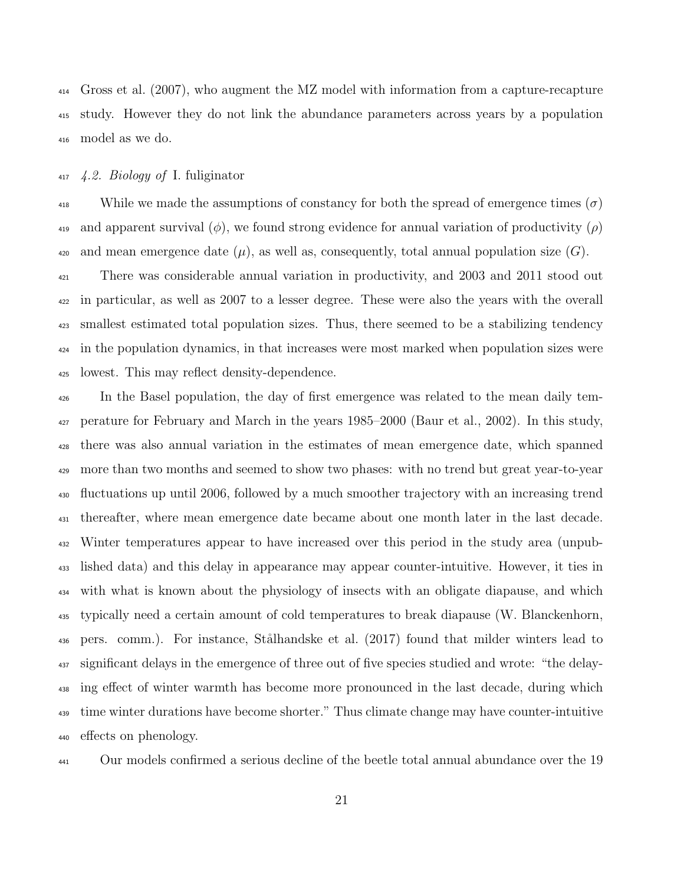Gross et al. (2007), who augment the MZ model with information from a capture-recapture study. However they do not link the abundance parameters across years by a population model as we do.

#### 4.2. Biology of I. fuliginator

<sup>418</sup> While we made the assumptions of constancy for both the spread of emergence times ( $\sigma$ ) and apparent survival  $(\phi)$ , we found strong evidence for annual variation of productivity  $(\rho)$ 420 and mean emergence date  $(\mu)$ , as well as, consequently, total annual population size  $(G)$ .

<sup>421</sup> There was considerable annual variation in productivity, and 2003 and 2011 stood out in particular, as well as 2007 to a lesser degree. These were also the years with the overall smallest estimated total population sizes. Thus, there seemed to be a stabilizing tendency in the population dynamics, in that increases were most marked when population sizes were lowest. This may reflect density-dependence.

 In the Basel population, the day of first emergence was related to the mean daily tem- perature for February and March in the years 1985–2000 (Baur et al., 2002). In this study, there was also annual variation in the estimates of mean emergence date, which spanned more than two months and seemed to show two phases: with no trend but great year-to-year fluctuations up until 2006, followed by a much smoother trajectory with an increasing trend thereafter, where mean emergence date became about one month later in the last decade. Winter temperatures appear to have increased over this period in the study area (unpub- lished data) and this delay in appearance may appear counter-intuitive. However, it ties in with what is known about the physiology of insects with an obligate diapause, and which typically need a certain amount of cold temperatures to break diapause (W. Blanckenhorn, 436 pers. comm.). For instance, Stålhandske et al. (2017) found that milder winters lead to significant delays in the emergence of three out of five species studied and wrote: "the delay- ing effect of winter warmth has become more pronounced in the last decade, during which <sup>439</sup> time winter durations have become shorter." Thus climate change may have counter-intuitive effects on phenology.

Our models confirmed a serious decline of the beetle total annual abundance over the 19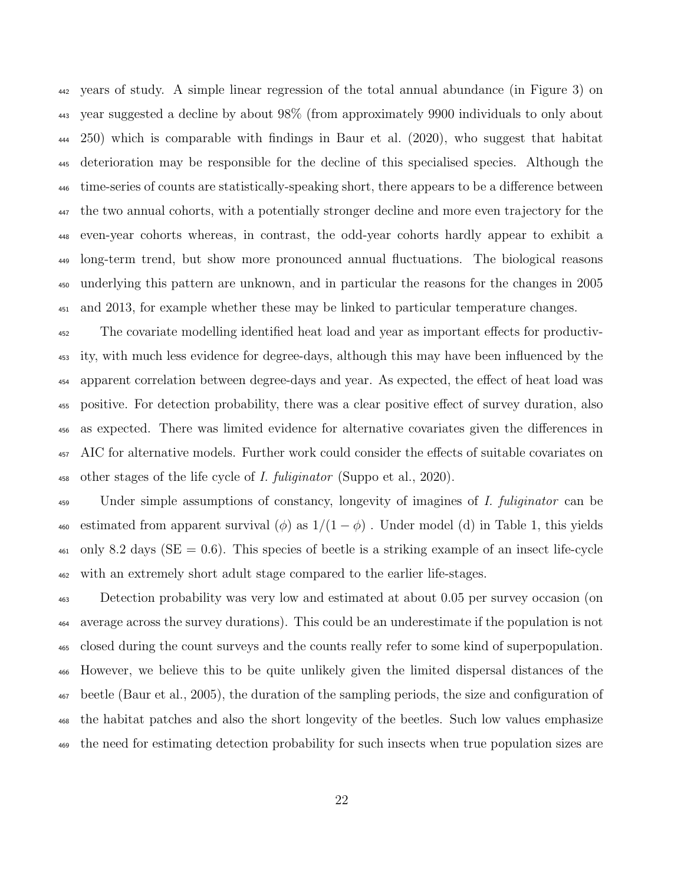years of study. A simple linear regression of the total annual abundance (in Figure 3) on year suggested a decline by about 98% (from approximately 9900 individuals to only about 250) which is comparable with findings in Baur et al. (2020), who suggest that habitat deterioration may be responsible for the decline of this specialised species. Although the time-series of counts are statistically-speaking short, there appears to be a difference between the two annual cohorts, with a potentially stronger decline and more even trajectory for the even-year cohorts whereas, in contrast, the odd-year cohorts hardly appear to exhibit a long-term trend, but show more pronounced annual fluctuations. The biological reasons underlying this pattern are unknown, and in particular the reasons for the changes in 2005 and 2013, for example whether these may be linked to particular temperature changes.

 The covariate modelling identified heat load and year as important effects for productiv- ity, with much less evidence for degree-days, although this may have been influenced by the apparent correlation between degree-days and year. As expected, the effect of heat load was positive. For detection probability, there was a clear positive effect of survey duration, also as expected. There was limited evidence for alternative covariates given the differences in AIC for alternative models. Further work could consider the effects of suitable covariates on 458 other stages of the life cycle of I. fuliginator (Suppo et al., 2020).

<sup>459</sup> Under simple assumptions of constancy, longevity of imagines of *I. fuliginator* can be 460 estimated from apparent survival  $(\phi)$  as  $1/(1 - \phi)$ . Under model (d) in Table 1, this yields  $_{461}$  only 8.2 days (SE = 0.6). This species of beetle is a striking example of an insect life-cycle with an extremely short adult stage compared to the earlier life-stages.

 Detection probability was very low and estimated at about 0.05 per survey occasion (on average across the survey durations). This could be an underestimate if the population is not closed during the count surveys and the counts really refer to some kind of superpopulation. However, we believe this to be quite unlikely given the limited dispersal distances of the beetle (Baur et al., 2005), the duration of the sampling periods, the size and configuration of the habitat patches and also the short longevity of the beetles. Such low values emphasize the need for estimating detection probability for such insects when true population sizes are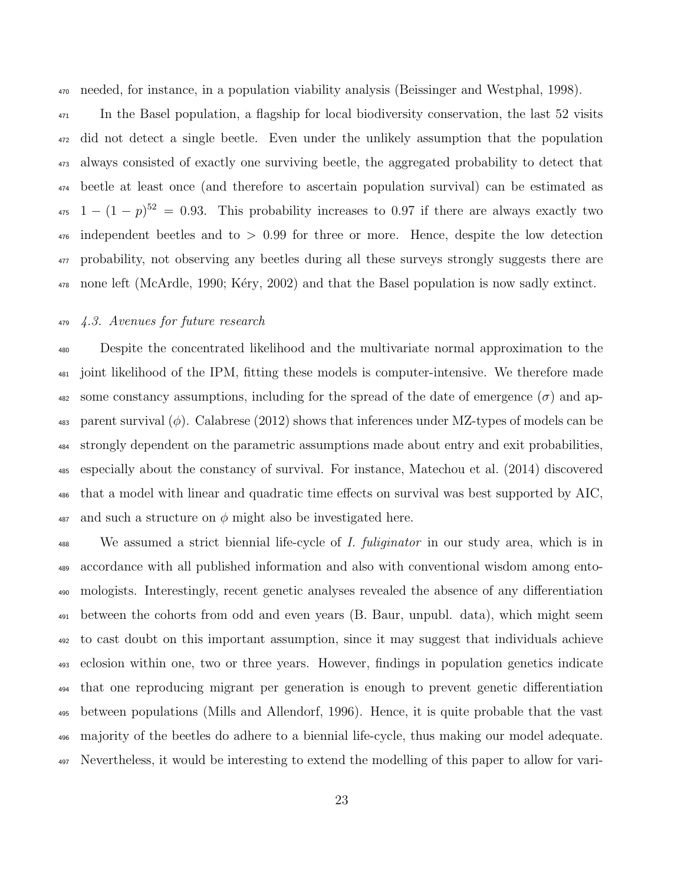needed, for instance, in a population viability analysis (Beissinger and Westphal, 1998).

<sup>471</sup> In the Basel population, a flagship for local biodiversity conservation, the last 52 visits did not detect a single beetle. Even under the unlikely assumption that the population always consisted of exactly one surviving beetle, the aggregated probability to detect that beetle at least once (and therefore to ascertain population survival) can be estimated as  $1 - (1 - p)^{52} = 0.93$ . This probability increases to 0.97 if there are always exactly two independent beetles and to  $> 0.99$  for three or more. Hence, despite the low detection probability, not observing any beetles during all these surveys strongly suggests there are  $\mu_{478}$  none left (McArdle, 1990; Kéry, 2002) and that the Basel population is now sadly extinct.

#### 4.3. Avenues for future research

 Despite the concentrated likelihood and the multivariate normal approximation to the joint likelihood of the IPM, fitting these models is computer-intensive. We therefore made 482 some constancy assumptions, including for the spread of the date of emergence  $(\sigma)$  and ap-483 parent survival  $(\phi)$ . Calabrese (2012) shows that inferences under MZ-types of models can be strongly dependent on the parametric assumptions made about entry and exit probabilities, especially about the constancy of survival. For instance, Matechou et al. (2014) discovered that a model with linear and quadratic time effects on survival was best supported by AIC, and such a structure on  $\phi$  might also be investigated here.

<sup>488</sup> We assumed a strict biennial life-cycle of *I. fuliginator* in our study area, which is in accordance with all published information and also with conventional wisdom among ento- mologists. Interestingly, recent genetic analyses revealed the absence of any differentiation between the cohorts from odd and even years (B. Baur, unpubl. data), which might seem to cast doubt on this important assumption, since it may suggest that individuals achieve eclosion within one, two or three years. However, findings in population genetics indicate that one reproducing migrant per generation is enough to prevent genetic differentiation between populations (Mills and Allendorf, 1996). Hence, it is quite probable that the vast majority of the beetles do adhere to a biennial life-cycle, thus making our model adequate. Nevertheless, it would be interesting to extend the modelling of this paper to allow for vari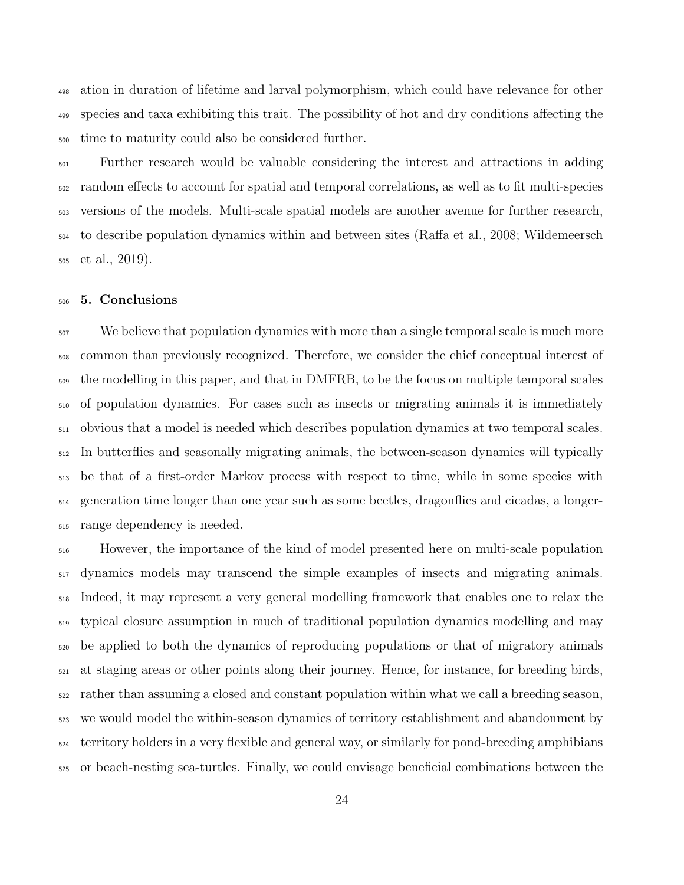ation in duration of lifetime and larval polymorphism, which could have relevance for other species and taxa exhibiting this trait. The possibility of hot and dry conditions affecting the time to maturity could also be considered further.

 Further research would be valuable considering the interest and attractions in adding random effects to account for spatial and temporal correlations, as well as to fit multi-species versions of the models. Multi-scale spatial models are another avenue for further research, to describe population dynamics within and between sites (Raffa et al., 2008; Wildemeersch et al., 2019).

#### 5. Conclusions

 We believe that population dynamics with more than a single temporal scale is much more common than previously recognized. Therefore, we consider the chief conceptual interest of the modelling in this paper, and that in DMFRB, to be the focus on multiple temporal scales of population dynamics. For cases such as insects or migrating animals it is immediately obvious that a model is needed which describes population dynamics at two temporal scales. In butterflies and seasonally migrating animals, the between-season dynamics will typically be that of a first-order Markov process with respect to time, while in some species with generation time longer than one year such as some beetles, dragonflies and cicadas, a longer-range dependency is needed.

 However, the importance of the kind of model presented here on multi-scale population  $_{517}$  dynamics models may transcend the simple examples of insects and migrating animals. Indeed, it may represent a very general modelling framework that enables one to relax the typical closure assumption in much of traditional population dynamics modelling and may be applied to both the dynamics of reproducing populations or that of migratory animals at staging areas or other points along their journey. Hence, for instance, for breeding birds, rather than assuming a closed and constant population within what we call a breeding season, we would model the within-season dynamics of territory establishment and abandonment by territory holders in a very flexible and general way, or similarly for pond-breeding amphibians or beach-nesting sea-turtles. Finally, we could envisage beneficial combinations between the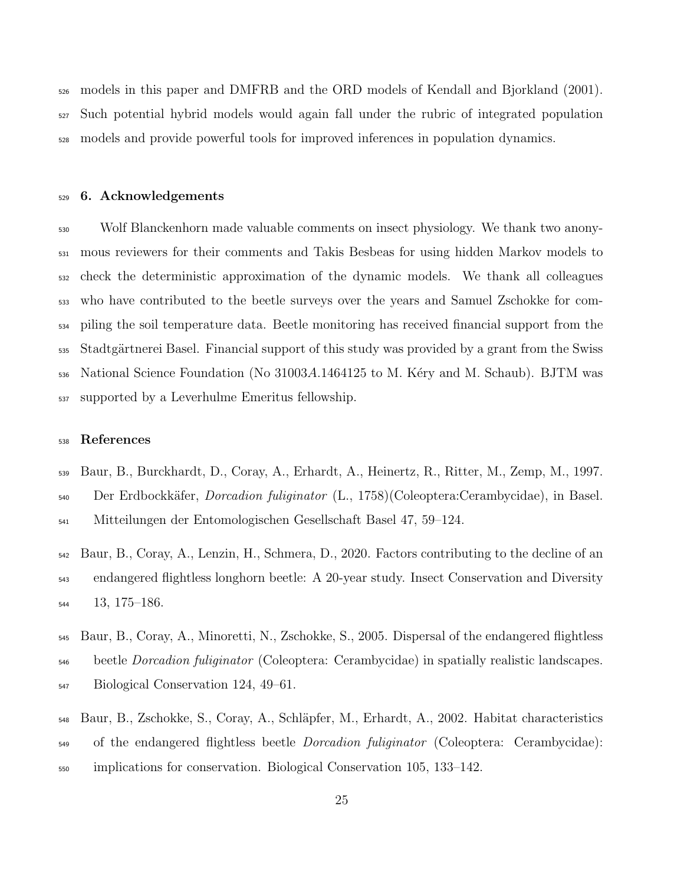models in this paper and DMFRB and the ORD models of Kendall and Bjorkland (2001). Such potential hybrid models would again fall under the rubric of integrated population models and provide powerful tools for improved inferences in population dynamics.

#### 6. Acknowledgements

 Wolf Blanckenhorn made valuable comments on insect physiology. We thank two anony- mous reviewers for their comments and Takis Besbeas for using hidden Markov models to check the deterministic approximation of the dynamic models. We thank all colleagues who have contributed to the beetle surveys over the years and Samuel Zschokke for com- piling the soil temperature data. Beetle monitoring has received financial support from the 535 Stadtgärtnerei Basel. Financial support of this study was provided by a grant from the Swiss  $_{536}$  National Science Foundation (No 31003A.1464125 to M. Kéry and M. Schaub). BJTM was supported by a Leverhulme Emeritus fellowship.

#### References

- Baur, B., Burckhardt, D., Coray, A., Erhardt, A., Heinertz, R., Ritter, M., Zemp, M., 1997. 540 Der Erdbockkäfer, *Dorcadion fuliginator* (L., 1758)(Coleoptera:Cerambycidae), in Basel. Mitteilungen der Entomologischen Gesellschaft Basel 47, 59–124.
- Baur, B., Coray, A., Lenzin, H., Schmera, D., 2020. Factors contributing to the decline of an endangered flightless longhorn beetle: A 20-year study. Insect Conservation and Diversity 13, 175–186.
- Baur, B., Coray, A., Minoretti, N., Zschokke, S., 2005. Dispersal of the endangered flightless <sub>546</sub> beetle *Dorcadion fuliginator* (Coleoptera: Cerambycidae) in spatially realistic landscapes. Biological Conservation 124, 49–61.
- 548 Baur, B., Zschokke, S., Coray, A., Schläpfer, M., Erhardt, A., 2002. Habitat characteristics <sub>549</sub> of the endangered flightless beetle *Dorcadion fuliginator* (Coleoptera: Cerambycidae): implications for conservation. Biological Conservation 105, 133–142.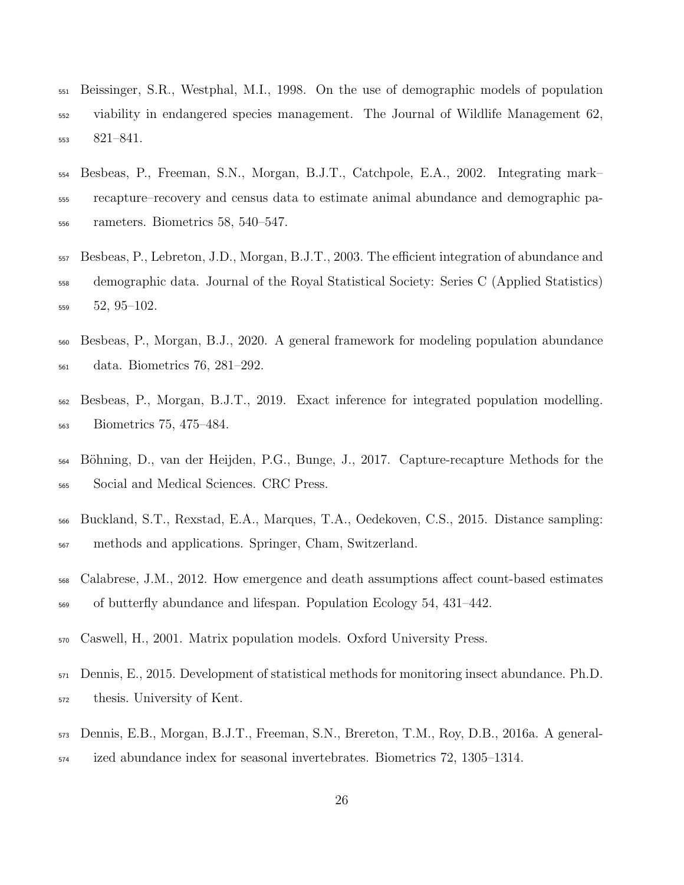- Beissinger, S.R., Westphal, M.I., 1998. On the use of demographic models of population viability in endangered species management. The Journal of Wildlife Management 62, 821–841.
- Besbeas, P., Freeman, S.N., Morgan, B.J.T., Catchpole, E.A., 2002. Integrating mark– recapture–recovery and census data to estimate animal abundance and demographic pa-rameters. Biometrics 58, 540–547.
- Besbeas, P., Lebreton, J.D., Morgan, B.J.T., 2003. The efficient integration of abundance and demographic data. Journal of the Royal Statistical Society: Series C (Applied Statistics)  $52, 95-102$ .
- Besbeas, P., Morgan, B.J., 2020. A general framework for modeling population abundance data. Biometrics 76, 281–292.
- Besbeas, P., Morgan, B.J.T., 2019. Exact inference for integrated population modelling. Biometrics 75, 475–484.
- B¨ohning, D., van der Heijden, P.G., Bunge, J., 2017. Capture-recapture Methods for the Social and Medical Sciences. CRC Press.
- Buckland, S.T., Rexstad, E.A., Marques, T.A., Oedekoven, C.S., 2015. Distance sampling: methods and applications. Springer, Cham, Switzerland.
- Calabrese, J.M., 2012. How emergence and death assumptions affect count-based estimates of butterfly abundance and lifespan. Population Ecology 54, 431–442.
- Caswell, H., 2001. Matrix population models. Oxford University Press.
- Dennis, E., 2015. Development of statistical methods for monitoring insect abundance. Ph.D. thesis. University of Kent.
- Dennis, E.B., Morgan, B.J.T., Freeman, S.N., Brereton, T.M., Roy, D.B., 2016a. A general-
- ized abundance index for seasonal invertebrates. Biometrics 72, 1305–1314.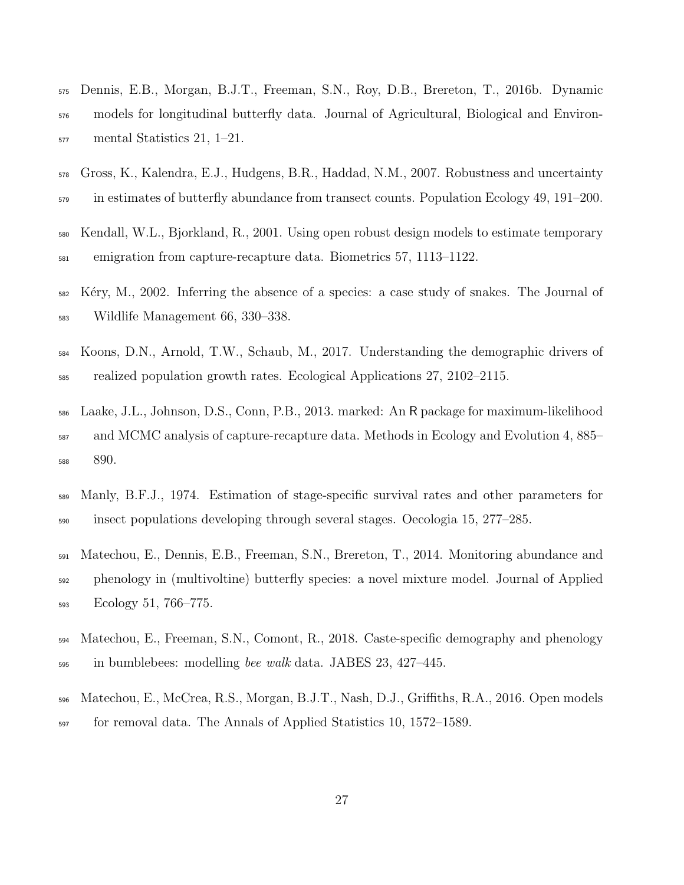- Dennis, E.B., Morgan, B.J.T., Freeman, S.N., Roy, D.B., Brereton, T., 2016b. Dynamic models for longitudinal butterfly data. Journal of Agricultural, Biological and Environ-mental Statistics 21, 1–21.
- Gross, K., Kalendra, E.J., Hudgens, B.R., Haddad, N.M., 2007. Robustness and uncertainty <sub>579</sub> in estimates of butterfly abundance from transect counts. Population Ecology 49, 191–200.
- Kendall, W.L., Bjorkland, R., 2001. Using open robust design models to estimate temporary emigration from capture-recapture data. Biometrics 57, 1113–1122.
- Kéry, M., 2002. Inferring the absence of a species: a case study of snakes. The Journal of Wildlife Management 66, 330–338.
- Koons, D.N., Arnold, T.W., Schaub, M., 2017. Understanding the demographic drivers of realized population growth rates. Ecological Applications 27, 2102–2115.
- Laake, J.L., Johnson, D.S., Conn, P.B., 2013. marked: An R package for maximum-likelihood and MCMC analysis of capture-recapture data. Methods in Ecology and Evolution 4, 885– 890.
- Manly, B.F.J., 1974. Estimation of stage-specific survival rates and other parameters for insect populations developing through several stages. Oecologia 15, 277–285.
- Matechou, E., Dennis, E.B., Freeman, S.N., Brereton, T., 2014. Monitoring abundance and phenology in (multivoltine) butterfly species: a novel mixture model. Journal of Applied Ecology 51, 766–775.
- Matechou, E., Freeman, S.N., Comont, R., 2018. Caste-specific demography and phenology 595 in bumblebees: modelling bee walk data. JABES 23, 427–445.
- Matechou, E., McCrea, R.S., Morgan, B.J.T., Nash, D.J., Griffiths, R.A., 2016. Open models for removal data. The Annals of Applied Statistics 10, 1572–1589.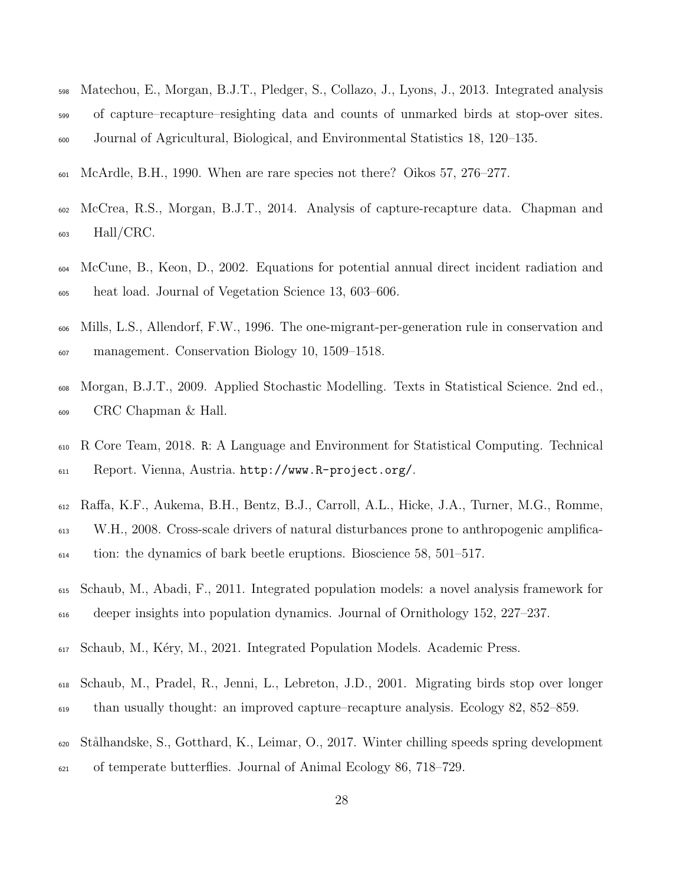- Matechou, E., Morgan, B.J.T., Pledger, S., Collazo, J., Lyons, J., 2013. Integrated analysis of capture–recapture–resighting data and counts of unmarked birds at stop-over sites. Journal of Agricultural, Biological, and Environmental Statistics 18, 120–135.
- McArdle, B.H., 1990. When are rare species not there? Oikos 57, 276–277.
- McCrea, R.S., Morgan, B.J.T., 2014. Analysis of capture-recapture data. Chapman and  $_{603}$  Hall/CRC.
- McCune, B., Keon, D., 2002. Equations for potential annual direct incident radiation and heat load. Journal of Vegetation Science 13, 603–606.
- Mills, L.S., Allendorf, F.W., 1996. The one-migrant-per-generation rule in conservation and management. Conservation Biology 10, 1509–1518.
- Morgan, B.J.T., 2009. Applied Stochastic Modelling. Texts in Statistical Science. 2nd ed., CRC Chapman & Hall.
- R Core Team, 2018. R: A Language and Environment for Statistical Computing. Technical Report. Vienna, Austria. http://www.R-project.org/.
- Raffa, K.F., Aukema, B.H., Bentz, B.J., Carroll, A.L., Hicke, J.A., Turner, M.G., Romme,
- W.H., 2008. Cross-scale drivers of natural disturbances prone to anthropogenic amplifica-
- tion: the dynamics of bark beetle eruptions. Bioscience 58, 501–517.
- Schaub, M., Abadi, F., 2011. Integrated population models: a novel analysis framework for deeper insights into population dynamics. Journal of Ornithology 152, 227–237.
- Schaub, M., K´ery, M., 2021. Integrated Population Models. Academic Press.
- Schaub, M., Pradel, R., Jenni, L., Lebreton, J.D., 2001. Migrating birds stop over longer than usually thought: an improved capture–recapture analysis. Ecology 82, 852–859.
- St˚alhandske, S., Gotthard, K., Leimar, O., 2017. Winter chilling speeds spring development of temperate butterflies. Journal of Animal Ecology 86, 718–729.